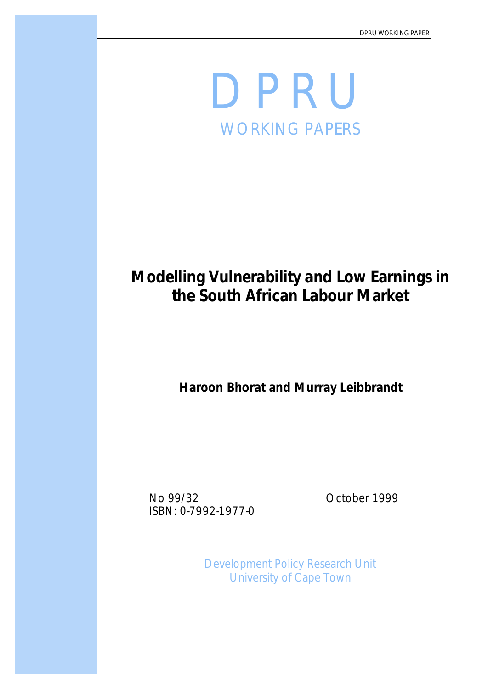# DPRU WORKING PAPERS

# **Modelling Vulnerability and Low Earnings in the South African Labour Market**

# **Haroon Bhorat and Murray Leibbrandt**

No 99/32 October 1999 ISBN: 0-7992-1977-0

Development Policy Research Unit University of Cape Town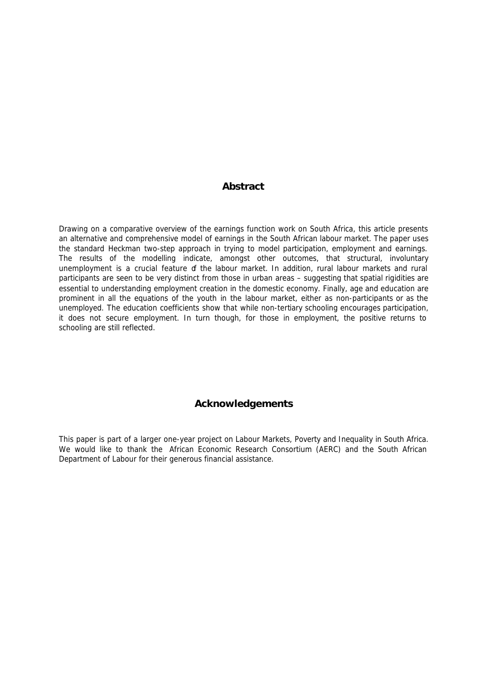# **Abstract**

Drawing on a comparative overview of the earnings function work on South Africa, this article presents an alternative and comprehensive model of earnings in the South African labour market. The paper uses the standard Heckman two-step approach in trying to model participation, employment and earnings. The results of the modelling indicate, amongst other outcomes, that structural, involuntary unemployment is a crucial feature of the labour market. In addition, rural labour markets and rural participants are seen to be very distinct from those in urban areas – suggesting that spatial rigidities are essential to understanding employment creation in the domestic economy. Finally, age and education are prominent in all the equations of the youth in the labour market, either as non-participants or as the unemployed. The education coefficients show that while non-tertiary schooling encourages participation, it does not secure employment. In turn though, for those in employment, the positive returns to schooling are still reflected.

# **Acknowledgements**

This paper is part of a larger one-year project on Labour Markets, Poverty and Inequality in South Africa. We would like to thank the African Economic Research Consortium (AERC) and the South African Department of Labour for their generous financial assistance.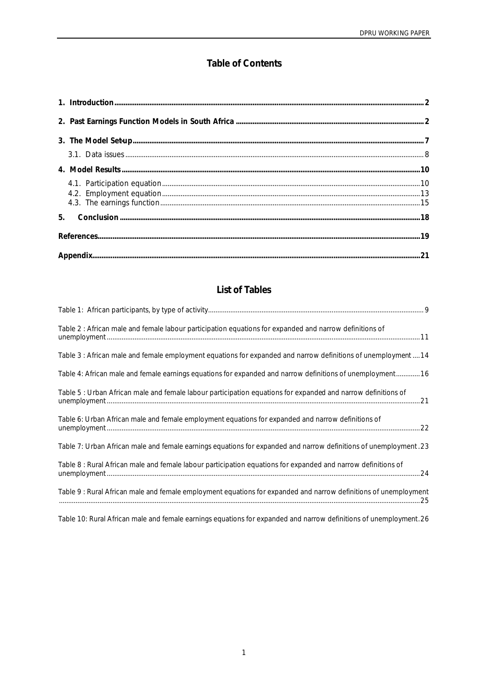# **Table of Contents**

# **List of Tables**

| Table 2 : African male and female labour participation equations for expanded and narrow definitions of            |
|--------------------------------------------------------------------------------------------------------------------|
| Table 3: African male and female employment equations for expanded and narrow definitions of unemployment14        |
| Table 4: African male and female earnings equations for expanded and narrow definitions of unemployment16          |
| Table 5 : Urban African male and female labour participation equations for expanded and narrow definitions of      |
| Table 6: Urban African male and female employment equations for expanded and narrow definitions of                 |
| Table 7: Urban African male and female earnings equations for expanded and narrow definitions of unemployment.23   |
| Table 8: Rural African male and female labour participation equations for expanded and narrow definitions of       |
| Table 9: Rural African male and female employment equations for expanded and narrow definitions of unemployment    |
| Table 10: Rural African male and female earnings equations for expanded and narrow definitions of unemployment. 26 |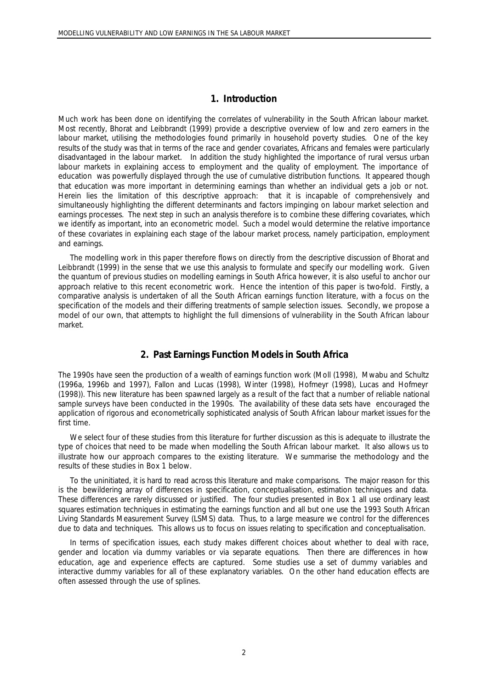# **1. Introduction**

Much work has been done on identifying the correlates of vulnerability in the South African labour market. Most recently, Bhorat and Leibbrandt (1999) provide a descriptive overview of low and zero earners in the labour market, utilising the methodologies found primarily in household poverty studies. One of the key results of the study was that in terms of the race and gender covariates, Africans and females were particularly disadvantaged in the labour market. In addition the study highlighted the importance of rural versus urban labour markets in explaining access to employment and the quality of employment. The importance of education was powerfully displayed through the use of cumulative distribution functions. It appeared though that education was more important in determining earnings than whether an individual gets a job or not. Herein lies the limitation of this descriptive approach: that it is incapable of comprehensively and simultaneously highlighting the different determinants and factors impinging on labour market selection and earnings processes. The next step in such an analysis therefore is to combine these differing covariates, which we identify as important, into an econometric model. Such a model would determine the relative importance of these covariates in explaining each stage of the labour market process, namely participation, employment and earnings.

The modelling work in this paper therefore flows on directly from the descriptive discussion of Bhorat and Leibbrandt (1999) in the sense that we use this analysis to formulate and specify our modelling work. Given the quantum of previous studies on modelling earnings in South Africa however, it is also useful to anchor our approach relative to this recent econometric work. Hence the intention of this paper is two-fold. Firstly, a comparative analysis is undertaken of all the South African earnings function literature, with a focus on the specification of the models and their differing treatments of sample selection issues. Secondly, we propose a model of our own, that attempts to highlight the full dimensions of vulnerability in the South African labour market.

# **2. Past Earnings Function Models in South Africa**

The 1990s have seen the production of a wealth of earnings function work (Moll (1998), Mwabu and Schultz (1996a, 1996b and 1997), Fallon and Lucas (1998), Winter (1998), Hofmeyr (1998), Lucas and Hofmeyr (1998)). This new literature has been spawned largely as a result of the fact that a number of reliable national sample surveys have been conducted in the 1990s. The availability of these data sets have encouraged the application of rigorous and econometrically sophisticated analysis of South African labour market issues for the first time.

We select four of these studies from this literature for further discussion as this is adequate to illustrate the type of choices that need to be made when modelling the South African labour market. It also allows us to illustrate how our approach compares to the existing literature. We summarise the methodology and the results of these studies in Box 1 below.

To the uninitiated, it is hard to read across this literature and make comparisons. The major reason for this is the bewildering array of differences in specification, conceptualisation, estimation techniques and data. These differences are rarely discussed or justified. The four studies presented in Box 1 all use ordinary least squares estimation techniques in estimating the earnings function and all but one use the 1993 South African Living Standards Measurement Survey (LSMS) data. Thus, to a large measure we control for the differences due to data and techniques. This allows us to focus on issues relating to specification and conceptualisation.

In terms of specification issues, each study makes different choices about whether to deal with race, gender and location via dummy variables or via separate equations. Then there are differences in how education, age and experience effects are captured. Some studies use a set of dummy variables and interactive dummy variables for all of these explanatory variables. On the other hand education effects are often assessed through the use of splines.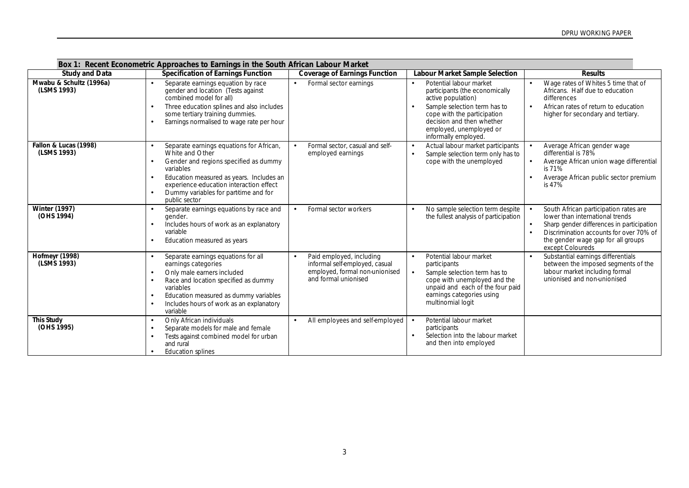|                                        | Box 1: Recent Econometric Approaches to Earnings in the South African Labour Market                                                                                                                                                                                                                       |                                                                                                                                   |                                                                                                                                                                                                                                |                                                                                                                                                                                                                            |  |  |  |  |  |  |  |
|----------------------------------------|-----------------------------------------------------------------------------------------------------------------------------------------------------------------------------------------------------------------------------------------------------------------------------------------------------------|-----------------------------------------------------------------------------------------------------------------------------------|--------------------------------------------------------------------------------------------------------------------------------------------------------------------------------------------------------------------------------|----------------------------------------------------------------------------------------------------------------------------------------------------------------------------------------------------------------------------|--|--|--|--|--|--|--|
| <b>Study and Data</b>                  | <b>Specification of Earnings Function</b>                                                                                                                                                                                                                                                                 | <b>Coverage of Earnings Function</b>                                                                                              | <b>Labour Market Sample Selection</b>                                                                                                                                                                                          | <b>Results</b>                                                                                                                                                                                                             |  |  |  |  |  |  |  |
| Mwabu & Schultz (1996a)<br>(LSMS 1993) | Separate earnings equation by race<br>gender and location (Tests against<br>combined model for all)<br>Three education splines and also includes<br>some tertiary training dummies.<br>Earnings normalised to wage rate per hour<br>$\bullet$                                                             | Formal sector earnings                                                                                                            | Potential labour market<br>participants (the economically<br>active population)<br>Sample selection term has to<br>cope with the participation<br>decision and then whether<br>employed, unemployed or<br>informally employed. | Wage rates of Whites 5 time that of<br>Africans. Half due to education<br>differences<br>African rates of return to education<br>$\bullet$<br>higher for secondary and tertiary.                                           |  |  |  |  |  |  |  |
| Fallon & Lucas (1998)<br>(LSMS 1993)   | Separate earnings equations for African,<br>White and Other<br>Gender and regions specified as dummy<br>$\bullet$<br>variables<br>Education measured as years. Includes an<br>$\bullet$<br>experience-education interaction effect<br>Dummy variables for part-time and for<br>$\bullet$<br>public sector | Formal sector, casual and self-<br>employed earnings                                                                              | Actual labour market participants<br>$\bullet$<br>Sample selection term only has to<br>$\bullet$<br>cope with the unemployed                                                                                                   | Average African gender wage<br>differential is 78%<br>Average African union wage differential<br>is 71%<br>Average African public sector premium<br>is 47%                                                                 |  |  |  |  |  |  |  |
| <b>Winter (1997)</b><br>(OHS 1994)     | Separate earnings equations by race and<br>$\bullet$<br>gender.<br>Includes hours of work as an explanatory<br>$\bullet$<br>variable<br>Education measured as years                                                                                                                                       | Formal sector workers<br>$\bullet$                                                                                                | No sample selection term despite<br>the fullest analysis of participation                                                                                                                                                      | South African participation rates are<br>lower than international trends<br>Sharp gender differences in participation<br>Discrimination accounts for over 70% of<br>the gender wage gap for all groups<br>except Coloureds |  |  |  |  |  |  |  |
| Hofmeyr (1998)<br>(LSMS 1993)          | Separate earnings equations for all<br>earnings categories<br>Only male earners included<br>$\bullet$<br>Race and location specified as dummy<br>$\bullet$<br>variables<br>Education measured as dummy variables<br>$\bullet$<br>Includes hours of work as an explanatory<br>$\bullet$<br>variable        | Paid employed, including<br>$\bullet$<br>informal self-employed, casual<br>employed, formal non-unionised<br>and formal unionised | Potential labour market<br>$\bullet$<br>participants<br>Sample selection term has to<br>cope with unemployed and the<br>unpaid and each of the four paid<br>earnings categories using<br>multinomial logit                     | Substantial earnings differentials<br>between the imposed segments of the<br>labour market including formal<br>unionised and non-unionised                                                                                 |  |  |  |  |  |  |  |
| <b>This Study</b><br>(OHS 1995)        | Only African individuals<br>$\bullet$<br>Separate models for male and female<br>$\bullet$<br>Tests against combined model for urban<br>and rural<br><b>Education splines</b>                                                                                                                              | All employees and self-employed<br>$\bullet$                                                                                      | Potential labour market<br>participants<br>Selection into the labour market<br>$\bullet$<br>and then into employed                                                                                                             |                                                                                                                                                                                                                            |  |  |  |  |  |  |  |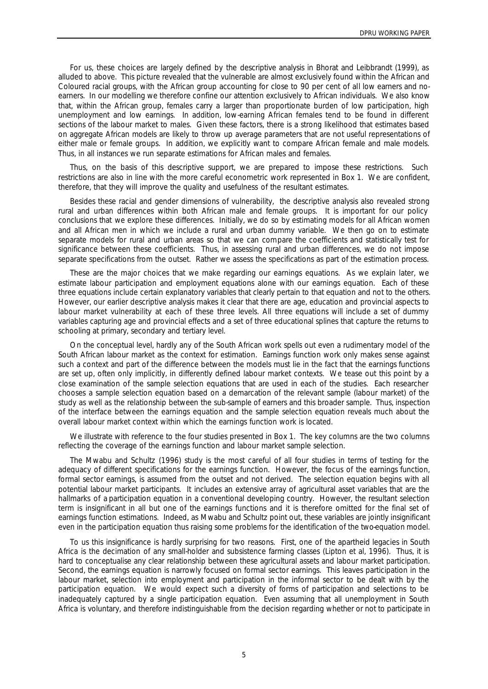For us, these choices are largely defined by the descriptive analysis in Bhorat and Leibbrandt (1999), as alluded to above. This picture revealed that the vulnerable are almost exclusively found within the African and Coloured racial groups, with the African group accounting for close to 90 per cent of all low earners and noearners. In our modelling we therefore confine our attention exclusively to African individuals. We also know that, within the African group, females carry a larger than proportionate burden of low participation, high unemployment and low earnings. In addition, low-earning African females tend to be found in different sections of the labour market to males. Given these factors, there is a strong likelihood that estimates based on aggregate African models are likely to throw up average parameters that are not useful representations of either male or female groups. In addition, we explicitly want to compare African female and male models. Thus, in all instances we run separate estimations for African males and females.

Thus, on the basis of this descriptive support, we are prepared to impose these restrictions. Such restrictions are also in line with the more careful econometric work represented in Box 1. We are confident, therefore, that they will improve the quality and usefulness of the resultant estimates.

Besides these racial and gender dimensions of vulnerability, the descriptive analysis also revealed strong rural and urban differences within both African male and female groups. It is important for our policy conclusions that we explore these differences. Initially, we do so by estimating models for all African women and all African men in which we include a rural and urban dummy variable. We then go on to estimate separate models for rural and urban areas so that we can compare the coefficients and statistically test for significance between these coefficients. Thus, in assessing rural and urban differences, we do not impose separate specifications from the outset. Rather we assess the specifications as part of the estimation process.

These are the major choices that we make regarding our earnings equations. As we explain later, we estimate labour participation and employment equations alone with our earnings equation. Each of these three equations include certain explanatory variables that clearly pertain to that equation and not to the others. However, our earlier descriptive analysis makes it clear that there are age, education and provincial aspects to labour market vulnerability at each of these three levels. All three equations will include a set of dummy variables capturing age and provincial effects and a set of three educational splines that capture the returns to schooling at primary, secondary and tertiary level.

On the conceptual level, hardly any of the South African work spells out even a rudimentary model of the South African labour market as the context for estimation. Earnings function work only makes sense against such a context and part of the difference between the models must lie in the fact that the earnings functions are set up, often only implicitly, in differently defined labour market contexts. We tease out this point by a close examination of the sample selection equations that are used in each of the studies. Each researcher chooses a sample selection equation based on a demarcation of the relevant sample (labour market) of the study as well as the relationship between the sub-sample of earners and this broader sample. Thus, inspection of the interface between the earnings equation and the sample selection equation reveals much about the overall labour market context within which the earnings function work is located.

We illustrate with reference to the four studies presented in Box 1. The key columns are the two columns reflecting the coverage of the earnings function and labour market sample selection.

The Mwabu and Schultz (1996) study is the most careful of all four studies in terms of testing for the adequacy of different specifications for the earnings function. However, the focus of the earnings function, formal sector earnings, is assumed from the outset and not derived. The selection equation begins with all potential labour market participants. It includes an extensive array of agricultural asset variables that are the hallmarks of a participation equation in a conventional developing country. However, the resultant selection term is insignificant in all but one of the earnings functions and it is therefore omitted for the final set of earnings function estimations. Indeed, as Mwabu and Schultz point out, these variables are jointly insignificant even in the participation equation thus raising some problems for the identification of the two-equation model.

To us this insignificance is hardly surprising for two reasons. First, one of the apartheid legacies in South Africa is the decimation of any small-holder and subsistence farming classes (Lipton et al, 1996). Thus, it is hard to conceptualise any clear relationship between these agricultural assets and labour market participation. Second, the earnings equation is narrowly focused on formal sector earnings. This leaves participation in the labour market, selection into employment and participation in the informal sector to be dealt with by the participation equation. We would expect such a diversity of forms of participation and selections to be inadequately captured by a single participation equation. Even assuming that all unemployment in South Africa is voluntary, and therefore indistinguishable from the decision regarding whether or not to participate in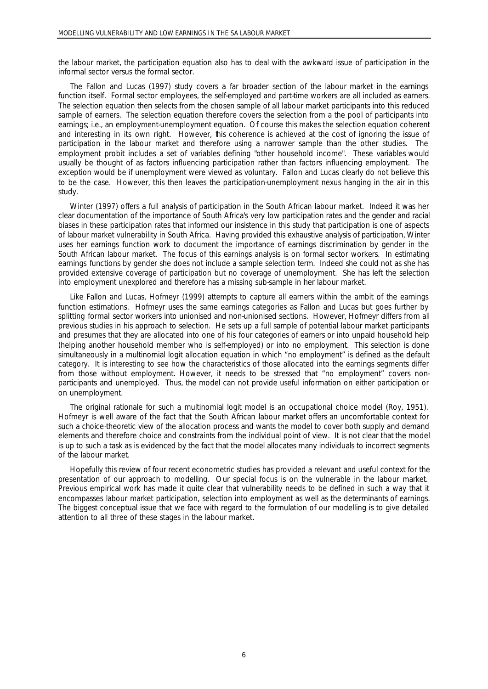the labour market, the participation equation also has to deal with the awkward issue of participation in the informal sector versus the formal sector.

The Fallon and Lucas (1997) study covers a far broader section of the labour market in the earnings function itself. Formal sector employees, the self-employed and part-time workers are all included as earners. The selection equation then selects from the chosen sample of all labour market participants into this reduced sample of earners. The selection equation therefore covers the selection from a the pool of participants into earnings; i.e., an employment-unemployment equation. Of course this makes the selection equation coherent and interesting in its own right. However, this coherence is achieved at the cost of ignoring the issue of participation in the labour market and therefore using a narrower sample than the other studies. The employment probit includes a set of variables defining "other household income". These variables would usually be thought of as factors influencing participation rather than factors influencing employment. The exception would be if unemployment were viewed as voluntary. Fallon and Lucas clearly do not believe this to be the case. However, this then leaves the participation-unemployment nexus hanging in the air in this study.

Winter (1997) offers a full analysis of participation in the South African labour market. Indeed it was her clear documentation of the importance of South Africa's very low participation rates and the gender and racial biases in these participation rates that informed our insistence in this study that participation is one of aspects of labour market vulnerability in South Africa. Having provided this exhaustive analysis of participation, Winter uses her earnings function work to document the importance of earnings discrimination by gender in the South African labour market. The focus of this earnings analysis is on formal sector workers. In estimating earnings functions by gender she does not include a sample selection term. Indeed she could not as she has provided extensive coverage of participation but no coverage of unemployment. She has left the selection into employment unexplored and therefore has a missing sub-sample in her labour market.

Like Fallon and Lucas, Hofmeyr (1999) attempts to capture all earners within the ambit of the earnings function estimations. Hofmeyr uses the same earnings categories as Fallon and Lucas but goes further by splitting formal sector workers into unionised and non-unionised sections. However, Hofmeyr differs from all previous studies in his approach to selection. He sets up a full sample of potential labour market participants and presumes that they are allocated into one of his four categories of earners or into unpaid household help (helping another household member who is self-employed) or into no employment. This selection is done simultaneously in a multinomial logit allocation equation in which "no employment" is defined as the default category. It is interesting to see how the characteristics of those allocated into the earnings segments differ from those without employment. However, it needs to be stressed that "no employment" covers nonparticipants and unemployed. Thus, the model can not provide useful information on either participation or on unemployment.

The original rationale for such a multinomial logit model is an occupational choice model (Roy, 1951). Hofmeyr is well aware of the fact that the South African labour market offers an uncomfortable context for such a choice-theoretic view of the allocation process and wants the model to cover both supply and demand elements and therefore choice and constraints from the individual point of view. It is not clear that the model is up to such a task as is evidenced by the fact that the model allocates many individuals to incorrect segments of the labour market.

Hopefully this review of four recent econometric studies has provided a relevant and useful context for the presentation of our approach to modelling. Our special focus is on the vulnerable in the labour market. Previous empirical work has made it quite clear that vulnerability needs to be defined in such a way that it encompasses labour market participation, selection into employment as well as the determinants of earnings. The biggest conceptual issue that we face with regard to the formulation of our modelling is to give detailed attention to all three of these stages in the labour market.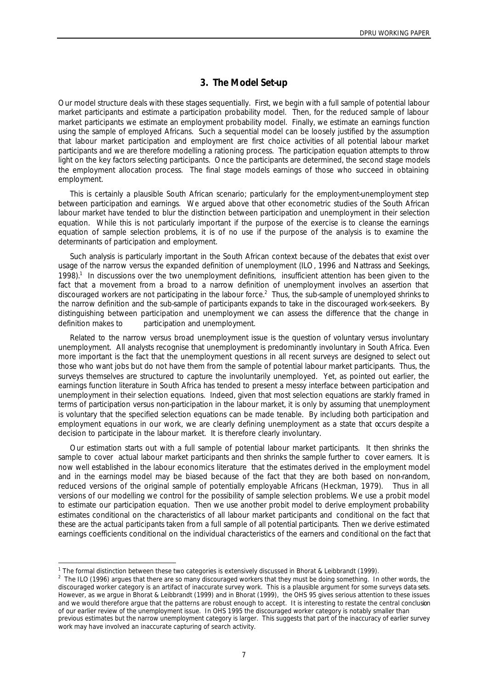### **3. The Model Set-up**

Our model structure deals with these stages sequentially. First, we begin with a full sample of potential labour market participants and estimate a participation probability model. Then, for the reduced sample of labour market participants we estimate an employment probability model. Finally, we estimate an earnings function using the sample of employed Africans. Such a sequential model can be loosely justified by the assumption that labour market participation and employment are first choice activities of all potential labour market participants and we are therefore modelling a rationing process. The participation equation attempts to throw light on the key factors selecting participants. Once the participants are determined, the second stage models the employment allocation process. The final stage models earnings of those who succeed in obtaining employment.

This is certainly a plausible South African scenario; particularly for the employment-unemployment step between participation and earnings. We argued above that other econometric studies of the South African labour market have tended to blur the distinction between participation and unemployment in their selection equation. While this is not particularly important if the purpose of the exercise is to cleanse the earnings equation of sample selection problems, it is of no use if the purpose of the analysis is to examine the determinants of participation and employment.

Such analysis is particularly important in the South African context because of the debates that exist over usage of the narrow versus the expanded definition of unemployment (ILO, 1996 and Nattrass and Seekings, 1998).<sup>1</sup> In discussions over the two unemployment definitions, insufficient attention has been given to the fact that a movement from a broad to a narrow definition of unemployment involves an assertion that discouraged workers are not participating in the labour force.<sup>2</sup> Thus, the sub-sample of unemployed shrinks to the narrow definition and the sub-sample of participants expands to take in the discouraged work-seekers. By distinguishing between participation and unemployment we can assess the difference that the change in definition makes to participation and unemployment.

Related to the narrow versus broad unemployment issue is the question of voluntary versus involuntary unemployment. All analysts recognise that unemployment is predominantly involuntary in South Africa. Even more important is the fact that the unemployment questions in all recent surveys are designed to select out those who want jobs but do not have them from the sample of potential labour market participants. Thus, the surveys themselves are structured to capture the involuntarily unemployed. Yet, as pointed out earlier, the earnings function literature in South Africa has tended to present a messy interface between participation and unemployment in their selection equations. Indeed, given that most selection equations are starkly framed in terms of participation versus non-participation in the labour market, it is only by assuming that unemployment is voluntary that the specified selection equations can be made tenable. By including both participation and employment equations in our work, we are clearly defining unemployment as a state that occurs despite a decision to participate in the labour market. It is therefore clearly involuntary.

Our estimation starts out with a full sample of potential labour market participants. It then shrinks the sample to cover actual labour market participants and then shrinks the sample further to cover earners. It is now well established in the labour economics literature that the estimates derived in the employment model and in the earnings model may be biased because of the fact that they are both based on non-random, reduced versions of the original sample of potentially employable Africans (Heckman, 1979). Thus in all versions of our modelling we control for the possibility of sample selection problems. We use a probit model to estimate our participation equation. Then we use another probit model to derive employment probability estimates conditional on the characteristics of all labour market participants and *conditional on the fact that these are the actual participants taken from a full sample of all potential participants*. Then we derive estimated earnings coefficients conditional on the individual characteristics of the earners and *conditional on the fact that* 

l

<sup>&</sup>lt;sup>1</sup> The formal distinction between these two categories is extensively discussed in Bhorat & Leibbrandt (1999).

 $2$  The ILO (1996) argues that there are so many discouraged workers that they must be doing something. In other words, the discouraged worker category is an artifact of inaccurate survey work. This is a plausible argument for some surveys data sets. However, as we argue in Bhorat & Leibbrandt (1999) and in Bhorat (1999), the OHS 95 gives serious attention to these issues and we would therefore argue that the patterns are robust enough to accept. It is interesting to restate the central conclusion of our earlier review of the unemployment issue. In OHS 1995 the discouraged worker category is notably smaller than previous estimates but the narrow unemployment category is larger. This suggests that part of the inaccuracy of earlier survey work may have involved an inaccurate capturing of search activity.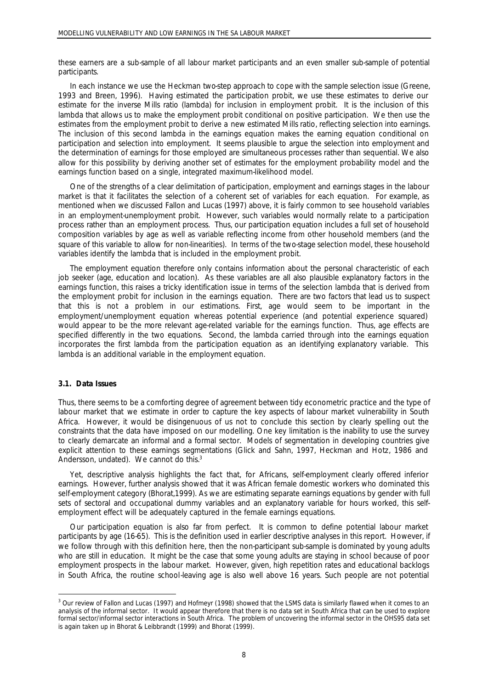#### *these earners are a sub-sample of all labour market participants and an even smaller sub-sample of potential participants*.

In each instance we use the Heckman two-step approach to cope with the sample selection issue (Greene, 1993 and Breen, 1996). Having estimated the participation probit, we use these estimates to derive our estimate for the inverse Mills ratio (lambda) for inclusion in employment probit. It is the inclusion of this lambda that allows us to make the employment probit conditional on positive participation. We then use the estimates from the employment probit to derive a new estimated Mills ratio, reflecting selection into earnings. The inclusion of this second lambda in the earnings equation makes the earning equation conditional on participation and selection into employment. It seems plausible to argue the selection into employment and the determination of earnings for those employed are simultaneous processes rather than sequential. We also allow for this possibility by deriving another set of estimates for the employment probability model and the earnings function based on a single, integrated maximum-likelihood model.

One of the strengths of a clear delimitation of participation, employment and earnings stages in the labour market is that it facilitates the selection of a coherent set of variables for each equation. For example, as mentioned when we discussed Fallon and Lucas (1997) above, it is fairly common to see household variables in an employment-unemployment probit. However, such variables would normally relate to a participation process rather than an employment process. Thus, our participation equation includes a full set of household composition variables by age as well as variable reflecting income from other household members (and the square of this variable to allow for non-linearities). In terms of the two-stage selection model, these household variables identify the lambda that is included in the employment probit.

The employment equation therefore only contains information about the personal characteristic of each job seeker (age, education and location). As these variables are all also plausible explanatory factors in the earnings function, this raises a tricky identification issue in terms of the selection lambda that is derived from the employment probit for inclusion in the earnings equation. There are two factors that lead us to suspect that this is not a problem in our estimations. First, age would seem to be important in the employment/unemployment equation whereas potential experience (and potential experience squared) would appear to be the more relevant age-related variable for the earnings function. Thus, age effects are specified differently in the two equations. Second, the lambda carried through into the earnings equation incorporates the first lambda from the participation equation as an identifying explanatory variable. This lambda is an additional variable in the employment equation.

#### **3.1. Data Issues**

l

Thus, there seems to be a comforting degree of agreement between tidy econometric practice and the type of labour market that we estimate in order to capture the key aspects of labour market vulnerability in South Africa. However, it would be disingenuous of us not to conclude this section by clearly spelling out the constraints that the data have imposed on our modelling. One key limitation is the inability to use the survey to clearly demarcate an informal and a formal sector. Models of segmentation in developing countries give explicit attention to these earnings segmentations (Glick and Sahn, 1997, Heckman and Hotz, 1986 and Andersson, undated). We cannot do this.<sup>3</sup>

Yet, descriptive analysis highlights the fact that, for Africans, self-employment clearly offered inferior earnings. However, further analysis showed that it was African female domestic workers who dominated this self-employment category (Bhorat,1999). As we are estimating separate earnings equations by gender with full sets of sectoral and occupational dummy variables and an explanatory variable for hours worked, this selfemployment effect will be adequately captured in the female earnings equations.

Our participation equation is also far from perfect. It is common to define potential labour market participants by age (16-65). This is the definition used in earlier descriptive analyses in this report. However, if we follow through with this definition here, then the non-participant sub-sample is dominated by young adults who are still in education. It might be the case that some young adults are staying in school because of poor employment prospects in the labour market. However, given, high repetition rates and educational backlogs in South Africa, the routine school-leaving age is also well above 16 years. Such people are not potential

 $3$  Our review of Fallon and Lucas (1997) and Hofmeyr (1998) showed that the LSMS data is similarly flawed when it comes to an analysis of the informal sector. It would appear therefore that there is no data set in South Africa that can be used to explore formal sector/informal sector interactions in South Africa. The problem of uncovering the informal sector in the OHS95 data set is again taken up in Bhorat & Leibbrandt (1999) and Bhorat (1999).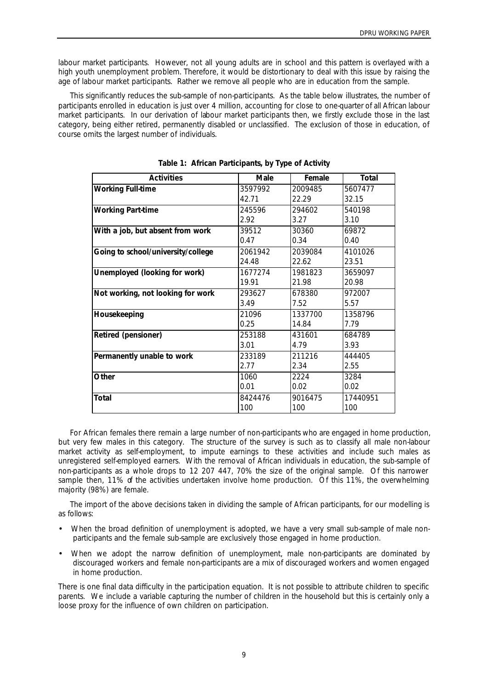labour market participants. However, not all young adults are in school and this pattern is overlayed with a high youth unemployment problem. Therefore, it would be distortionary to deal with this issue by raising the age of labour market participants. Rather we remove all people who are in education from the sample.

This significantly reduces the sub-sample of non-participants. As the table below illustrates, the number of participants enrolled in education is just over 4 million, accounting for close to one-quarter of all African labour market participants. In our derivation of labour market participants then, we firstly exclude those in the last category, being either retired, permanently disabled or unclassified. The exclusion of those in education, of course omits the largest number of individuals.

| <b>Activities</b>                  | <b>Male</b> | Female  | <b>Total</b> |
|------------------------------------|-------------|---------|--------------|
| <b>Working Full-time</b>           | 3597992     | 2009485 | 5607477      |
|                                    | 42.71       | 22.29   | 32.15        |
| <b>Working Part-time</b>           | 245596      | 294602  | 540198       |
|                                    | 2.92        | 3.27    | 3.10         |
| With a job, but absent from work   | 39512       | 30360   | 69872        |
|                                    | 0.47        | 0.34    | 0.40         |
| Going to school/university/college | 2061942     | 2039084 | 4101026      |
|                                    | 24.48       | 22.62   | 23.51        |
| Unemployed (looking for work)      | 1677274     | 1981823 | 3659097      |
|                                    | 19.91       | 21.98   | 20.98        |
| Not working, not looking for work  | 293627      | 678380  | 972007       |
|                                    | 3.49        | 7.52    | 5.57         |
| Housekeeping                       | 21096       | 1337700 | 1358796      |
|                                    | 0.25        | 14.84   | 7.79         |
| <b>Retired (pensioner)</b>         | 253188      | 431601  | 684789       |
|                                    | 3.01        | 4.79    | 3.93         |
| Permanently unable to work         | 233189      | 211216  | 444405       |
|                                    | 2.77        | 2.34    | 2.55         |
| Other                              | 1060        | 2224    | 3284         |
|                                    | 0.01        | 0.02    | 0.02         |
| <b>Total</b>                       | 8424476     | 9016475 | 17440951     |
|                                    | 100         | 100     | 100          |

**Table 1: African Participants, by Type of Activity**

For African females there remain a large number of non-participants who are engaged in home production, but very few males in this category. The structure of the survey is such as to classify all male non-labour market activity as self-employment, to impute earnings to these activities and include such males as unregistered self-employed earners. With the removal of African individuals in education, the sub-sample of non-participants as a whole drops to 12 207 447, 70% the size of the original sample. Of this narrower sample then, 11% of the activities undertaken involve home production. Of this 11%, the overwhelming majority (98%) are female.

The import of the above decisions taken in dividing the sample of African participants, for our modelling is as follows:

- When the broad definition of unemployment is adopted, we have a very small sub-sample of male nonparticipants and the female sub-sample are exclusively those engaged in home production.
- When we adopt the narrow definition of unemployment, male non-participants are dominated by discouraged workers and female non-participants are a mix of discouraged workers and women engaged in home production.

There is one final data difficulty in the participation equation. It is not possible to attribute children to specific parents. We include a variable capturing the number of children in the household but this is certainly only a loose proxy for the influence of own children on participation.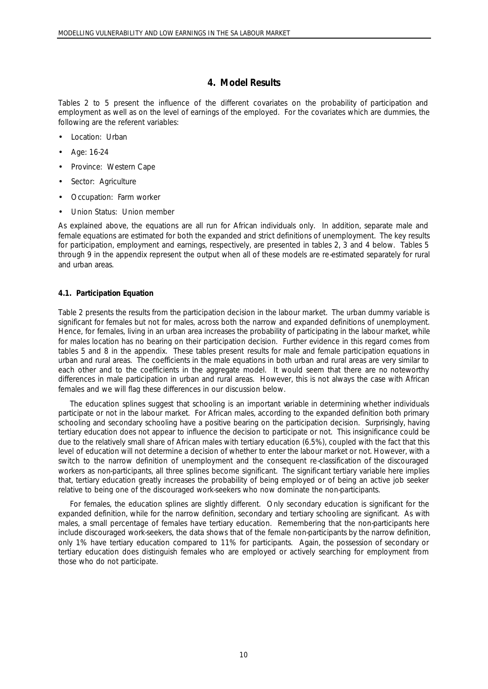## **4. Model Results**

Tables 2 to 5 present the influence of the different covariates on the probability of participation and employment as well as on the level of earnings of the employed. For the covariates which are dummies, the following are the referent variables:

- Location: Urban
- Age: 16-24
- Province: Western Cape
- Sector: Agriculture
- Occupation: Farm worker
- Union Status: Union member

As explained above, the equations are all run for African individuals only. In addition, separate male and female equations are estimated for both the expanded and strict definitions of unemployment. The key results for participation, employment and earnings, respectively, are presented in tables 2, 3 and 4 below. Tables 5 through 9 in the appendix represent the output when all of these models are re-estimated separately for rural and urban areas.

#### **4.1. Participation Equation**

Table 2 presents the results from the participation decision in the labour market. The urban dummy variable is significant for females but not for males, across both the narrow and expanded definitions of unemployment. Hence, for females, living in an urban area increases the probability of participating in the labour market, while for males location has no bearing on their participation decision. Further evidence in this regard comes from tables 5 and 8 in the appendix. These tables present results for male and female participation equations in urban and rural areas. The coefficients in the male equations in both urban and rural areas are very similar to each other and to the coefficients in the aggregate model. It would seem that there are no noteworthy differences in male participation in urban and rural areas. However, this is not always the case with African females and we will flag these differences in our discussion below.

The education splines suggest that schooling is an important variable in determining whether individuals participate or not in the labour market. For African males, according to the expanded definition both primary schooling and secondary schooling have a positive bearing on the participation decision. Surprisingly, having tertiary education does not appear to influence the decision to participate or not. This insignificance could be due to the relatively small share of African males with tertiary education (6.5%), coupled with the fact that this level of education will not determine a decision of whether to enter the labour market or not. However, with a switch to the narrow definition of unemployment and the consequent re-classification of the discouraged workers as non-participants, all three splines become significant. The significant tertiary variable here implies that, tertiary education greatly increases the probability of being employed or of being an active job seeker relative to being one of the discouraged work-seekers who now dominate the non-participants.

For females, the education splines are slightly different. Only secondary education is significant for the expanded definition, while for the narrow definition, secondary and tertiary schooling are significant. As with males, a small percentage of females have tertiary education. Remembering that the non-participants here include discouraged work-seekers, the data shows that of the female non-participants by the narrow definition, only 1% have tertiary education compared to 11% for participants. Again, the possession of secondary or tertiary education does distinguish females who are employed or actively searching for employment from those who do not participate.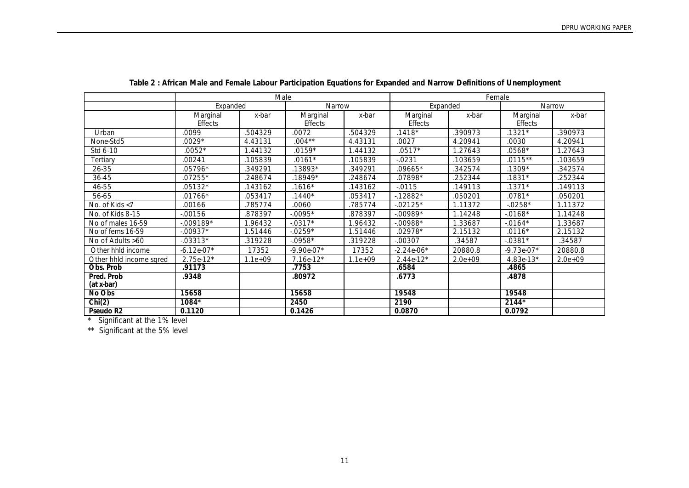|                         | Male<br>Expanded<br>Narrow<br>Marginal<br>x-bar<br>Marginal<br>x-bar |           |                |           | Female       |             |                |             |
|-------------------------|----------------------------------------------------------------------|-----------|----------------|-----------|--------------|-------------|----------------|-------------|
|                         |                                                                      |           |                |           | Expanded     |             |                | Narrow      |
|                         |                                                                      |           |                |           | Marginal     | x-bar       | Marginal       | x-bar       |
|                         | <b>Effects</b>                                                       |           | <b>Effects</b> |           | Effects      |             | <b>Effects</b> |             |
| Urban                   | .0099                                                                | .504329   | .0072          | .504329   | $.1418*$     | .390973     | $.1321*$       | .390973     |
| None-Std5               | $.0029*$                                                             | 4.43131   | $.004**$       | 4.43131   | .0027        | 4.20941     | .0030          | 4.20941     |
| Std 6-10                | $.0052*$                                                             | 1.44132   | $.0159*$       | 1.44132   | $.0517*$     | 1.27643     | $.0568*$       | 1.27643     |
| Tertiary                | 00241                                                                | .105839   | $.0161*$       | .105839   | $-0231$      | .103659     | $.0115**$      | .103659     |
| 26-35                   | $.05796*$                                                            | .349291   | 13893*         | .349291   | .09665*      | .342574     | .1309*         | .342574     |
| 36-45                   | $.07255*$                                                            | .248674   | 18949*         | .248674   | $.07898*$    | .252344     | $.1831*$       | .252344     |
| 46-55                   | $.05132*$                                                            | .143162   | $.1616*$       | .143162   | $-0115$      | .149113     | $.1371*$       | .149113     |
| 56-65                   | $.01766*$                                                            | .053417   | $1440*$        | .053417   | $-12882*$    | .050201     | $.0781*$       | .050201     |
| No. of Kids <7          | .00166                                                               | .785774   | .0060          | .785774   | $-02125*$    | 1.11372     | $-0.0258*$     | 1.11372     |
| No. of Kids 8-15        | $-00156$                                                             | .878397   | $-0.0095*$     | .878397   | $-00989*$    | 1.14248     | $-0.0168*$     | 1.14248     |
| No of males 16-59       | $-009189*$                                                           | 1.96432   | $-0.0317*$     | 1.96432   | $-00988*$    | 1.33687     | $-0.0164*$     | 1.33687     |
| No of fems 16-59        | $-0.00937*$                                                          | 1.51446   | $-0.0259*$     | 1.51446   | $.02978*$    | 2.15132     | $.0116*$       | 2.15132     |
| No of Adults >60        | $-0.03313*$                                                          | .319228   | $-0.0958*$     | .319228   | $-0.00307$   | 34587       | $-0.0381*$     | .34587      |
| Other hhld income       | $-6.12e-07*$                                                         | 17352     | $-9.90e-07*$   | 17352     | $-2.24e-06*$ | 20880.8     | $-9.73e-07*$   | 20880.8     |
| Other hhld income sqred | $2.75e-12*$                                                          | $1.1e+09$ | $7.16e12*$     | $1.1e+09$ | $2.44e-12*$  | $2.0e + 09$ | 4.83e-13*      | $2.0e + 09$ |
| Obs. Prob               | .91173                                                               |           | .7753          |           | .6584        |             | .4865          |             |
| Pred. Prob              | .9348                                                                |           | .80972         |           | .6773        |             | .4878          |             |
| (at x-bar)              |                                                                      |           |                |           |              |             |                |             |
| No Obs                  | 15658                                                                |           | 15658          |           | 19548        |             | 19548          |             |
| Chi(2)                  | $1084*$                                                              |           | 2450           |           | 2190         |             | $2144*$        |             |
| Pseudo R2               | 0.1120                                                               |           | 0.1426         |           | 0.0870       |             | 0.0792         |             |

**Table 2 : African Male and Female Labour Participation Equations for Expanded and Narrow Definitions of Unemployment**

\* Significant at the 1% level

\*\* Significant at the 5% level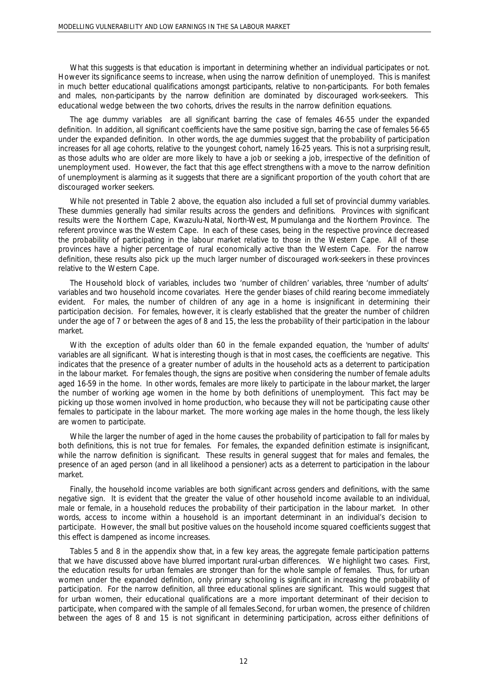What this suggests is that education is important in determining whether an individual participates or not. However its significance seems to increase, when using the narrow definition of unemployed. This is manifest in much better educational qualifications amongst participants, relative to non-participants. For both females and males, non-participants by the narrow definition are dominated by discouraged work-seekers. This educational wedge between the two cohorts, drives the results in the narrow definition equations.

The age dummy variables are all significant barring the case of females 46-55 under the expanded definition. In addition, all significant coefficients have the same positive sign, barring the case of females 56-65 under the expanded definition. In other words, the age dummies suggest that the probability of participation increases for all age cohorts, relative to the youngest cohort, namely 16-25 years. This is not a surprising result, as those adults who are older are more likely to have a job or seeking a job, irrespective of the definition of unemployment used. However, the fact that this age effect strengthens with a move to the narrow definition of unemployment is alarming as it suggests that there are a significant proportion of the youth cohort that are discouraged worker seekers.

While not presented in Table 2 above, the equation also included a full set of provincial dummy variables. These dummies generally had similar results across the genders and definitions. Provinces with significant results were the Northern Cape, Kwazulu-Natal, North-West, Mpumulanga and the Northern Province. The referent province was the Western Cape. In each of these cases, being in the respective province decreased the probability of participating in the labour market relative to those in the Western Cape. All of these provinces have a higher percentage of rural economically active than the Western Cape. For the narrow definition, these results also pick up the much larger number of discouraged work-seekers in these provinces relative to the Western Cape.

The Household block of variables, includes two 'number of children' variables, three 'number of adults' variables and two household income covariates. Here the gender biases of child rearing become immediately evident. For males, the number of children of any age in a home is insignificant in determining their participation decision. For females, however, it is clearly established that the greater the number of children under the age of 7 or between the ages of 8 and 15, the less the probability of their participation in the labour market.

With the exception of adults older than 60 in the female expanded equation, the 'number of adults' variables are all significant. What is interesting though is that in most cases, the coefficients are negative. This indicates that the presence of a greater number of adults in the household acts as a deterrent to participation in the labour market. For females though, the signs are positive when considering the number of female adults aged 16-59 in the home. In other words, females are more likely to participate in the labour market, the larger the number of working age women in the home by both definitions of unemployment. This fact may be picking up those women involved in home production, who because they will not be participating cause other females to participate in the labour market. The more working age males in the home though, the less likely are women to participate.

While the larger the number of aged in the home causes the probability of participation to fall for males by both definitions, this is not true for females. For females, the expanded definition estimate is insignificant, while the narrow definition is significant. These results in general suggest that for males and females, the presence of an aged person (and in all likelihood a pensioner) acts as a deterrent to participation in the labour market.

Finally, the household income variables are both significant across genders and definitions, with the same negative sign. It is evident that the greater the value of other household income available to an individual, male or female, in a household reduces the probability of their participation in the labour market. In other words, access to income within a household is an important determinant in an individual's decision to participate. However, the small but positive values on the household income squared coefficients suggest that this effect is dampened as income increases.

Tables 5 and 8 in the appendix show that, in a few key areas, the aggregate female participation patterns that we have discussed above have blurred important rural-urban differences. We highlight two cases. First, the education results for urban females are stronger than for the whole sample of females. Thus, for urban women under the expanded definition, only primary schooling is significant in increasing the probability of participation. For the narrow definition, all three educational splines are significant. This would suggest that for urban women, their educational qualifications are a more important determinant of their decision to participate, when compared with the sample of all females.Second, for urban women, the presence of children between the ages of 8 and 15 is not significant in determining participation, across either definitions of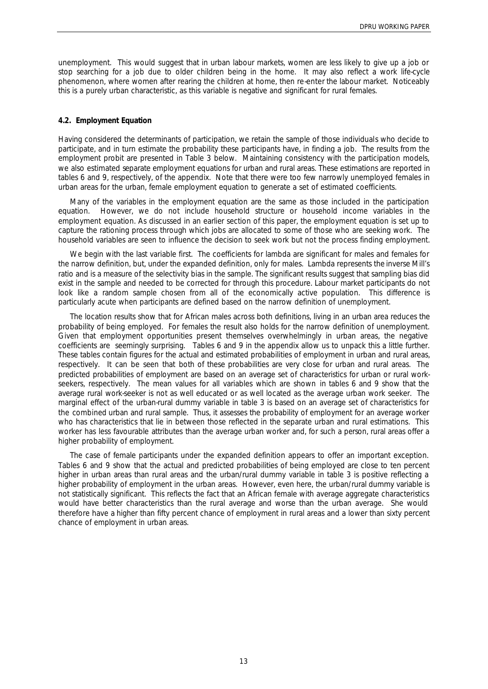unemployment. This would suggest that in urban labour markets, women are less likely to give up a job or stop searching for a job due to older children being in the home. It may also reflect a work life-cycle phenomenon, where women after rearing the children at home, then re-enter the labour market. Noticeably this is a purely urban characteristic, as this variable is negative and significant for rural females.

#### **4.2. Employment Equation**

Having considered the determinants of participation, we retain the sample of those individuals who decide to participate, and in turn estimate the probability these participants have, in finding a job. The results from the employment probit are presented in Table 3 below. Maintaining consistency with the participation models, we also estimated separate employment equations for urban and rural areas. These estimations are reported in tables 6 and 9, respectively, of the appendix. Note that there were too few narrowly unemployed females in urban areas for the urban, female employment equation to generate a set of estimated coefficients.

Many of the variables in the employment equation are the same as those included in the participation equation. However, we do not include household structure or household income variables in the employment equation. As discussed in an earlier section of this paper, the employment equation is set up to capture the rationing process through which jobs are allocated to some of those who are seeking work. The household variables are seen to influence the decision to seek work but not the process finding employment.

We begin with the last variable first. The coefficients for lambda are significant for males and females for the narrow definition, but, under the expanded definition, only for males. Lambda represents the inverse Mill's ratio and is a measure of the selectivity bias in the sample. The significant results suggest that sampling bias did exist in the sample and needed to be corrected for through this procedure. Labour market participants do not look like a random sample chosen from all of the economically active population. This difference is particularly acute when participants are defined based on the narrow definition of unemployment.

The location results show that for African males across both definitions, living in an urban area reduces the probability of being employed. For females the result also holds for the narrow definition of unemployment. Given that employment opportunities present themselves overwhelmingly in urban areas, the negative coefficients are seemingly surprising. Tables 6 and 9 in the appendix allow us to unpack this a little further. These tables contain figures for the actual and estimated probabilities of employment in urban and rural areas, respectively. It can be seen that both of these probabilities are very close for urban and rural areas. The predicted probabilities of employment are based on an average set of characteristics for urban or rural workseekers, respectively. The mean values for all variables which are shown in tables 6 and 9 show that the average rural work-seeker is not as well educated or as well located as the average urban work seeker. The marginal effect of the urban-rural dummy variable in table 3 is based on an average set of characteristics for the *combined* urban and rural sample. Thus, it assesses the probability of employment for an average worker who has characteristics that lie in between those reflected in the separate urban and rural estimations. This worker has less favourable attributes than the average urban worker and, *for such a person*, rural areas offer a higher probability of employment.

The case of female participants under the expanded definition appears to offer an important exception. Tables 6 and 9 show that the actual and predicted probabilities of being employed are close to ten percent higher in urban areas than rural areas and the urban/rural dummy variable in table 3 is positive reflecting a higher probability of employment in the urban areas. However, even here, the urban/rural dummy variable is not statistically significant. This reflects the fact that an African female with average aggregate characteristics would have better characteristics than the rural average and worse than the urban average. She would therefore have a higher than fifty percent chance of employment in rural areas and a lower than sixty percent chance of employment in urban areas.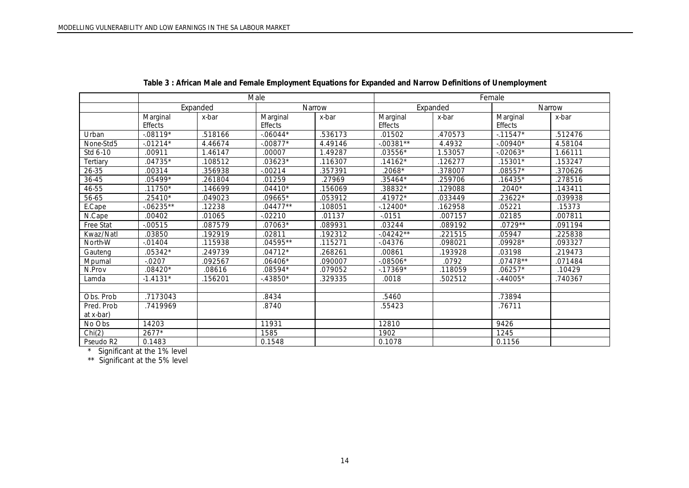|            |            |                    | Male       |          | Female         |         |             |         |
|------------|------------|--------------------|------------|----------|----------------|---------|-------------|---------|
|            |            | Expanded<br>Narrow |            | Expanded |                |         | Narrow      |         |
|            | Marginal   | x-bar              | Marginal   | x-bar    | Marginal       | x-bar   | Marginal    | x-bar   |
|            | Effects    |                    | Effects    |          | <b>Effects</b> |         | Effects     |         |
| Urban      | $-08119*$  | .518166            | $-06044*$  | .536173  | .01502         | .470573 | $-11547*$   | .512476 |
| None-Std5  | $-01214*$  | 4.46674            | $-0.0877*$ | 4.49146  | $-0.00381**$   | 4.4932  | $-0.00940*$ | 4.58104 |
| Std 6-10   | 00911      | 1.46147            | .00007     | 1.49287  | .03556*        | 1.53057 | $-0.02063*$ | 1.66111 |
| Tertiary   | $.04735*$  | .108512            | $.03623*$  | .116307  | $.14162*$      | .126277 | $.15301*$   | .153247 |
| 26-35      | 00314      | .356938            | $-00214$   | .357391  | $.2068*$       | .378007 | $.08557*$   | .370626 |
| 36-45      | .05499*    | .261804            | .01259     | .27969   | .35464*        | 259706  | $.16435*$   | .278516 |
| 46-55      | $.11750*$  | .146699            | $.04410*$  | .156069  | .38832*        | .129088 | $.2040*$    | .143411 |
| 56-65      | $.25410*$  | .049023            | $.09665*$  | .053912  | .41972*        | .033449 | .23622*     | .039938 |
| E.Cape     | $-06235**$ | .12238             | $.04477**$ | .108051  | $-12400*$      | .162958 | .05221      | .15373  |
| N.Cape     | 00402      | 01065              | $-02210$   | .01137   | $-0151$        | .007157 | .02185      | 007811  |
| Free Stat  | $-00515$   | 087579             | $.07063*$  | .089931  | .03244         | .089192 | .0729**     | .091194 |
| Kwaz/Natl  | .03850     | 192919             | .02811     | .192312  | $-04242**$     | .221515 | .05947      | .225838 |
| North-W    | $-01404$   | .115938            | .04595**   | .115271  | $-04376$       | .098021 | $.09928*$   | .093327 |
| Gauteng    | $.05342*$  | 249739             | $.04712*$  | .268261  | 00861          | 193928  | .03198      | .219473 |
| Mpumal     | $-0207$    | 092567             | $.06406*$  | .090007  | $-08506*$      | .0792   | $.07478**$  | .071484 |
| N.Prov     | $.08420*$  | .08616             | .08594*    | .079052  | $-17369*$      | .118059 | $.06257*$   | .10429  |
| Lamda      | $-1.4131*$ | 156201             | $-43850*$  | .329335  | .0018          | 502512  | $-44005*$   | .740367 |
|            |            |                    |            |          |                |         |             |         |
| Obs. Prob  | .7173043   |                    | .8434      |          | .5460          |         | .73894      |         |
| Pred. Prob | .7419969   |                    | .8740      |          | 55423          |         | .76711      |         |
| at x-bar)  |            |                    |            |          |                |         |             |         |
| No Obs     | 14203      |                    | 11931      |          | 12810          |         | 9426        |         |
| Chi(2)     | $2677*$    |                    | 1585       |          | 1902           |         | 1245        |         |
| Pseudo R2  | 0.1483     |                    | 0.1548     |          | 0.1078         |         | 0.1156      |         |

**Table 3 : African Male and Female Employment Equations for Expanded and Narrow Definitions of Unemployment**

\* Significant at the 1% level

\*\* Significant at the 5% level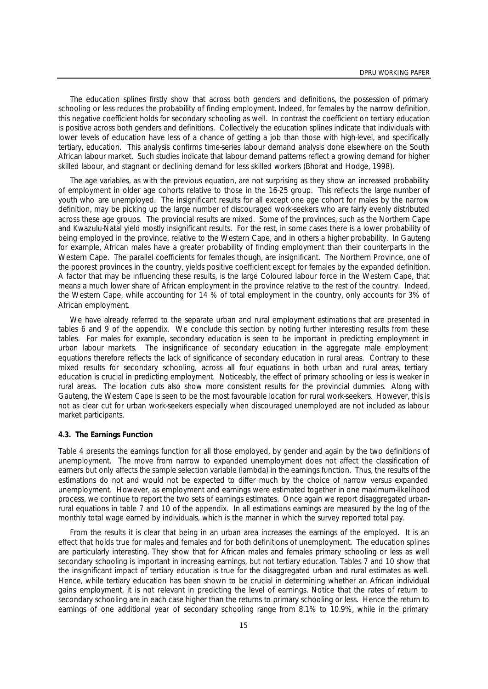The education splines firstly show that across both genders and definitions, the possession of primary schooling or less reduces the probability of finding employment. Indeed, for females by the narrow definition, this negative coefficient holds for secondary schooling as well. In contrast the coefficient on tertiary education is positive across both genders and definitions. Collectively the education splines indicate that individuals with lower levels of education have less of a chance of getting a job than those with high-level, and specifically tertiary, education. This analysis confirms time-series labour demand analysis done elsewhere on the South African labour market. Such studies indicate that labour demand patterns reflect a growing demand for higher skilled labour, and stagnant or declining demand for less skilled workers (Bhorat and Hodge, 1998).

The age variables, as with the previous equation, are not surprising as they show an increased probability of employment in older age cohorts relative to those in the 16-25 group. This reflects the large number of youth who are unemployed. The insignificant results for all except one age cohort for males by the narrow definition, may be picking up the large number of discouraged work-seekers who are fairly evenly distributed across these age groups. The provincial results are mixed. Some of the provinces, such as the Northern Cape and Kwazulu-Natal yield mostly insignificant results. For the rest, in some cases there is a lower probability of being employed in the province, relative to the Western Cape, and in others a higher probability. In Gauteng for example, African males have a greater probability of finding employment than their counterparts in the Western Cape. The parallel coefficients for females though, are insignificant. The Northern Province, one of the poorest provinces in the country, yields positive coefficient except for females by the expanded definition. A factor that may be influencing these results, is the large Coloured labour force in the Western Cape, that means a much lower share of African employment in the province relative to the rest of the country. Indeed, the Western Cape, while accounting for 14 % of total employment in the country, only accounts for 3% of African employment.

We have already referred to the separate urban and rural employment estimations that are presented in tables 6 and 9 of the appendix. We conclude this section by noting further interesting results from these tables. For males for example, secondary education is seen to be important in predicting employment in urban labour markets. The insignificance of secondary education in the aggregate male employment equations therefore reflects the lack of significance of secondary education in rural areas. Contrary to these mixed results for secondary schooling, across all four equations in both urban and rural areas, tertiary education is crucial in predicting employment. Noticeably, the effect of primary schooling or less is weaker in rural areas. The location cuts also show more consistent results for the provincial dummies. Along with Gauteng, the Western Cape is seen to be the most favourable location for rural work-seekers. However, this is not as clear cut for urban work-seekers especially when discouraged unemployed are not included as labour market participants.

#### **4.3. The Earnings Function**

Table 4 presents the earnings function for all those employed, by gender and again by the two definitions of unemployment. The move from narrow to expanded unemployment does not affect the classification of earners but only affects the sample selection variable (lambda) in the earnings function. Thus, the results of the estimations do not and would not be expected to differ much by the choice of narrow versus expanded unemployment. However, as employment and earnings were estimated together in one maximum-likelihood process, we continue to report the two sets of earnings estimates. Once again we report disaggregated urbanrural equations in table 7 and 10 of the appendix. In all estimations earnings are measured by the log of the monthly total wage earned by individuals, which is the manner in which the survey reported total pay.

From the results it is clear that being in an urban area increases the earnings of the employed. It is an effect that holds true for males and females and for both definitions of unemployment. The education splines are particularly interesting. They show that for African males and females primary schooling or less as well secondary schooling is important in increasing earnings, but not tertiary education. Tables 7 and 10 show that the insignificant impact of tertiary education is true for the disaggregated urban and rural estimates as well. Hence, while tertiary education has been shown to be crucial in determining whether an African individual gains employment, it is not relevant in predicting the level of earnings. Notice that the rates of return to secondary schooling are in each case higher than the returns to primary schooling or less. Hence the return to earnings of one additional year of secondary schooling range from 8.1% to 10.9%, while in the primary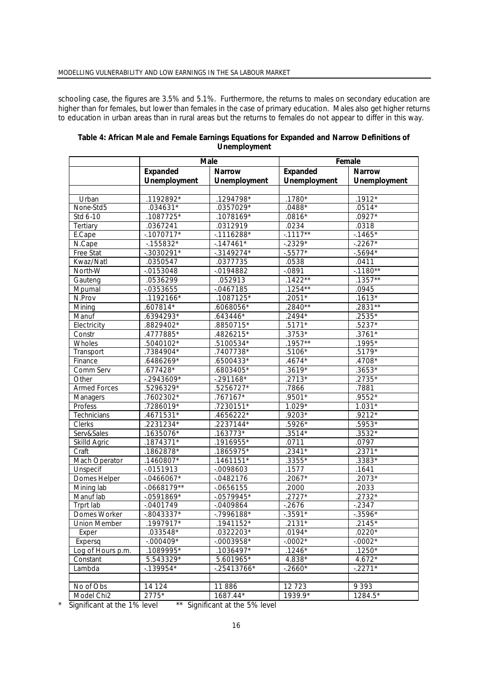schooling case, the figures are 3.5% and 5.1%. Furthermore, the returns to males on secondary education are higher than for females, but lower than females in the case of primary education. Males also get higher returns to education in urban areas than in rural areas but the returns to females do not appear to differ in this way.

|                         |                     | <b>Male</b>         |                     | Female              |
|-------------------------|---------------------|---------------------|---------------------|---------------------|
|                         | <b>Expanded</b>     | <b>Narrow</b>       | <b>Expanded</b>     | <b>Narrow</b>       |
|                         | <b>Unemployment</b> | <b>Unemployment</b> | <b>Unemployment</b> | <b>Unemployment</b> |
|                         |                     |                     |                     |                     |
| Urban                   | 1192892*            | .1294798*           | $.1780*$            | $.1912*$            |
| None-Std5               | $.034631*$          | .0357029*           | $.0488*$            | $.0514*$            |
| Std 6-10                | .1087725*           | .1078169*           | $.0816*$            | $.0927*$            |
| Tertiary                | 0367241             | 0312919             | .0234               | .0318               |
| E.Cape                  | $-1070717*$         | $-1116288*$         | $-1117**$           | $-1465*$            |
| N.Cape                  | $-155832*$          | $-147461*$          | $-.2329*$           | $-.2267*$           |
| <b>Free Stat</b>        | $-0.3030291*$       | $-3149274*$         | $-5577*$            | $-5694*$            |
| Kwaz/Natl               | 0350547             | .0377735            | .0538               | .0411               |
| North-W                 | $-0153048$          | $-0194882$          | $-0891$             | $-0.1180**$         |
| Gauteng                 | .0536299            | .052913             | $.1422**$           | $.1357**$           |
| Mpumal                  | $-0353655$          | $-0.0467185$        | $.1254***$          | .0945               |
| N.Prov                  | .1192166*           | .1087125*           | .2051*              | $.1613*$            |
| Mining                  | $.607814*$          | .6068056*           | $.2840**$           | .2831**             |
| <b>Manuf</b>            | .6394293*           | 643446*             | 2494*               | $.2535*$            |
| Electricity             | .8829402*           | .8850715*           | $.5171*$            | .5237*              |
| Constr                  | .4777885*           | .4826215*           | $.3753*$            | $.3761*$            |
| Wholes                  | .5040102*           | .5100534*           | $.1957**$           | .1995*              |
| Transport               | .7384904*           | .7407738*           | .5106*              | $.5179*$            |
| Finance                 | .6486269*           | .6500433*           | .4674*              | .4708*              |
| Comm Serv               | $.677428*$          | .6803405*           | $.3619*$            | $.3653*$            |
| Other                   | $-0.2943609*$       | $-.291168*$         | 2713*               | 2735*               |
| <b>Armed Forces</b>     | .5296329*           | .5256727*           | .7866               | .7881               |
| Managers                | .7602302*           | $.767167*$          | .9501*              | .9552*              |
| Profess                 | .7286019*           | .7230151*           | $1.029*$            | $1.031*$            |
| Technicians             | .4671531*           | .4656222*           | .9203*              | .9212*              |
| Clerks                  | .2231234*           | .2237144*           | .5926*              | $.5953*$            |
| Serv&Sales              | .1635076*           | $.163773*$          | $.3514*$            | $.3532*$            |
| Skilld Agric            | .1874371*           | $.1916955*$         | .0711               | .0797               |
| Craft                   | .1862878*           | .1865975*           | .2341*              | .2371*              |
| <b>Mach Operator</b>    | .1460807*           | $.1461151*$         | $.3355*$            | .3383*              |
| Unspecif                | $-0151913$          | $-0098603$          | .1577               | .1641               |
| Domes Helper            | $-0.0466067*$       | $-0482176$          | $.2067*$            | $.2073*$            |
| Mining lab              | $-0668179**$        | $-0656155$          | .2000               | .2033               |
| Manuf lab               | $-0591869*$         | $-0579945*$         | $.2727*$            | $.2732*$            |
| Trprt lab               | $-0401749$          | $-0409864$          | $-2676$             | $-2347$             |
| Domes Worker            | $-0.8043337*$       | $-7996188*$         | $-3591*$            | $-0.3596*$          |
| Union Member            | 1997917*            | .1941152*           | 2131*               | .2145*              |
| Exper                   | .033548*            | .0322203*           | $.0194*$            | $.0220*$            |
| Expersq                 | $-000409*$          | $-0003958*$         | $-0.0002*$          | $-0.002*$           |
| Log of Hours p.m.       | .1089995*           | $.1036497*$         | $.1246*$            | $.1250*$            |
| Constant                | 5.543329*           | 5.601965*           | $4.838*$            | $4.672*$            |
| Lambda                  | $-139954*$          | $-25413766*$        | $-2660*$            | $-.2271*$           |
|                         |                     |                     |                     |                     |
| $\overline{N}$ o of Obs | 14 124              | 11886               | 12723               | 9 3 9 3             |
| Model Chi2              | 2775*               | 1687.44*            | 1939.9*             | 1284.5*             |

| Table 4: African Male and Female Earnings Equations for Expanded and Narrow Definitions of |  |
|--------------------------------------------------------------------------------------------|--|
| <b>Unemployment</b>                                                                        |  |

\* Significant at the 1% level \*\* Significant at the 5% level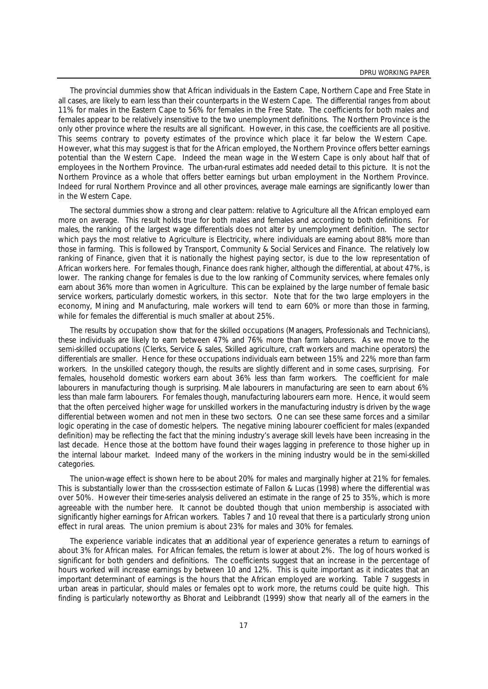The provincial dummies show that African individuals in the Eastern Cape, Northern Cape and Free State in all cases, are likely to earn less than their counterparts in the Western Cape. The differential ranges from about 11% for males in the Eastern Cape to 56% for females in the Free State. The coefficients for both males and females appear to be relatively insensitive to the two unemployment definitions. The Northern Province is the only other province where the results are all significant. However, in this case, the coefficients are all positive. This seems contrary to poverty estimates of the province which place it far below the Western Cape. However, what this may suggest is that for the African employed, the Northern Province offers better earnings potential than the Western Cape. Indeed the mean wage in the Western Cape is only about half that of employees in the Northern Province. The urban-rural estimates add needed detail to this picture. It is not the Northern Province as a whole that offers better earnings but urban employment in the Northern Province. Indeed for rural Northern Province and all other provinces, average male earnings are significantly lower than in the Western Cape.

The sectoral dummies show a strong and clear pattern: relative to Agriculture all the African employed earn more on average. This result holds true for both males and females and according to both definitions. For males, the ranking of the largest wage differentials does not alter by unemployment definition. The sector which pays the most relative to Agriculture is Electricity, where individuals are earning about 88% more than those in farming. This is followed by Transport, Community & Social Services and Finance. The relatively low ranking of Finance, given that it is nationally the highest paying sector, is due to the low representation of African workers here. For females though, Finance does rank higher, although the differential, at about 47%, is lower. The ranking change for females is due to the low ranking of Community services, where females only earn about 36% more than women in Agriculture. This can be explained by the large number of female basic service workers, particularly domestic workers, in this sector. Note that for the two large employers in the economy, Mining and Manufacturing, male workers will tend to earn 60% or more than those in farming, while for females the differential is much smaller at about 25%.

The results by occupation show that for the skilled occupations (Managers, Professionals and Technicians), these individuals are likely to earn between 47% and 76% more than farm labourers. As we move to the semi-skilled occupations (Clerks, Service & sales, Skilled agriculture, craft workers and machine operators) the differentials are smaller. Hence for these occupations individuals earn between 15% and 22% more than farm workers. In the unskilled category though, the results are slightly different and in some cases, surprising. For females, household domestic workers earn about 36% less than farm workers. The coefficient for male labourers in manufacturing though is surprising. Male labourers in manufacturing are seen to earn about 6% less than male farm labourers. For females though, manufacturing labourers earn more. Hence, it would seem that the often perceived higher wage for unskilled workers in the manufacturing industry is driven by the wage differential between women and not men in these two sectors. One can see these same forces and a similar logic operating in the case of domestic helpers. The negative mining labourer coefficient for males (expanded definition) may be reflecting the fact that the mining industry's average skill levels have been increasing in the last decade. Hence those at the bottom have found their wages lagging in preference to those higher up in the internal labour market. Indeed many of the workers in the mining industry would be in the semi-skilled categories.

The union-wage effect is shown here to be about 20% for males and marginally higher at 21% for females. This is substantially lower than the cross-section estimate of Fallon & Lucas (1998) where the differential was over 50%. However their time-series analysis delivered an estimate in the range of 25 to 35%, which is more agreeable with the number here. It cannot be doubted though that union membership is associated with significantly higher earnings for African workers. Tables 7 and 10 reveal that there is a particularly strong union effect in rural areas. The union premium is about 23% for males and 30% for females.

The experience variable indicates that an additional year of experience generates a return to earnings of about 3% for African males. For African females, the return is lower at about 2%. The log of hours worked is significant for both genders and definitions. The coefficients suggest that an increase in the percentage of hours worked will increase earnings by between 10 and 12%. This is quite important as it indicates that an important determinant of earnings is the hours that the African employed are working. Table 7 suggests in urban areas in particular, should males or females opt to work more, the returns could be quite high. This finding is particularly noteworthy as Bhorat and Leibbrandt (1999) show that nearly all of the earners in the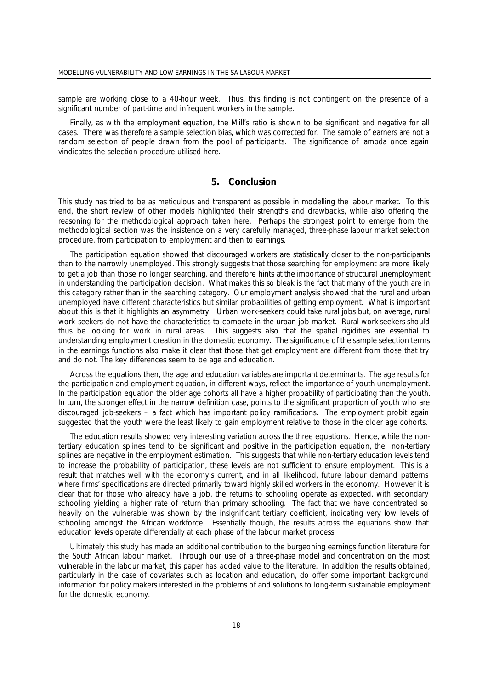sample are working close to a 40-hour week. Thus, this finding is not contingent on the presence of a significant number of part-time and infrequent workers in the sample.

Finally, as with the employment equation, the Mill's ratio is shown to be significant and negative for all cases. There was therefore a sample selection bias, which was corrected for. The sample of earners are not a random selection of people drawn from the pool of participants. The significance of lambda once again vindicates the selection procedure utilised here.

#### **5. Conclusion**

This study has tried to be as meticulous and transparent as possible in modelling the labour market. To this end, the short review of other models highlighted their strengths and drawbacks, while also offering the reasoning for the methodological approach taken here. Perhaps the strongest point to emerge from the methodological section was the insistence on a very carefully managed, three-phase labour market selection procedure, from participation to employment and then to earnings.

The participation equation showed that discouraged workers are statistically closer to the non-participants than to the narrowly unemployed. This strongly suggests that those searching for employment are more likely to get a job than those no longer searching, and therefore hints at the importance of structural unemployment in understanding the participation decision. What makes this so bleak is the fact that many of the youth are in this category rather than in the searching category. Our employment analysis showed that the rural and urban unemployed have different characteristics but similar probabilities of getting employment. What is important about this is that it highlights an asymmetry. Urban work-seekers could take rural jobs but, on average, rural work seekers do not have the characteristics to compete in the urban job market. Rural work-seekers should thus be looking for work in rural areas. This suggests also that the spatial rigidities are essential to understanding employment creation in the domestic economy. The significance of the sample selection terms in the earnings functions also make it clear that those that get employment are different from those that try and do not. The key differences seem to be age and education.

Across the equations then, the age and education variables are important determinants. The age results for the participation and employment equation, in different ways, reflect the importance of youth unemployment. In the participation equation the older age cohorts all have a higher probability of participating than the youth. In turn, the stronger effect in the narrow definition case, points to the significant proportion of youth who are discouraged job-seekers – a fact which has important policy ramifications. The employment probit again suggested that the youth were the least likely to gain employment relative to those in the older age cohorts.

The education results showed very interesting variation across the three equations. Hence, while the nontertiary education splines tend to be significant and positive in the participation equation, the non-tertiary splines are negative in the employment estimation. This suggests that while non-tertiary education levels tend to increase the probability of participation, these levels are not sufficient to ensure employment. This is a result that matches well with the economy's current, and in all likelihood, future labour demand patterns where firms' specifications are directed primarily toward highly skilled workers in the economy. However it is clear that for those who already have a job, the returns to schooling operate as expected, with secondary schooling yielding a higher rate of return than primary schooling. The fact that we have concentrated so heavily on the vulnerable was shown by the insignificant tertiary coefficient, indicating very low levels of schooling amongst the African workforce. Essentially though, the results across the equations show that education levels operate differentially at each phase of the labour market process.

Ultimately this study has made an additional contribution to the burgeoning earnings function literature for the South African labour market. Through our use of a three-phase model and concentration on the most vulnerable in the labour market, this paper has added value to the literature. In addition the results obtained, particularly in the case of covariates such as location and education, do offer some important background information for policy makers interested in the problems of and solutions to long-term sustainable employment for the domestic economy.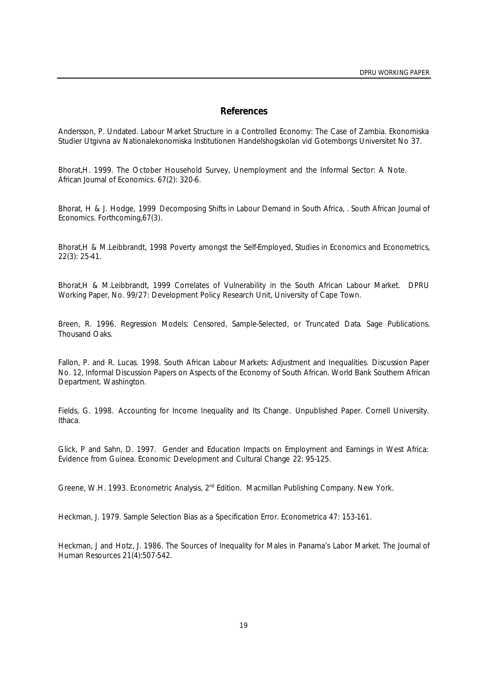#### **References**

Andersson, P. Undated. Labour Market Structure in a Controlled Economy: The Case of Zambia. Ekonomiska Studier Utgivna av Nationalekonomiska Institutionen Handelshogskolan vid Gotemborgs Universitet No 37.

Bhorat,H. 1999. The October Household Survey, Unemployment and the Informal Sector: A Note. *African Journal of Economics*. 67(2): 320-6.

Bhorat, H & J. Hodge, 1999 *Decomposing Shifts in Labour Demand in South Africa,* . *South African Journal of Economics*. Forthcoming,67(3).

Bhorat,H & M.Leibbrandt, 1998 Poverty amongst the Self-Employed, *Studies in Economics and Econometrics,* 22(3): 25-41.

Bhorat,H & M.Leibbrandt, 1999 Correlates of Vulnerability in the South African Labour Market. *DPRU Working Paper,* No. 99/27: Development Policy Research Unit, University of Cape Town.

Breen, R. 1996. *Regression Models: Censored, Sample-Selected, or Truncated Data*. Sage Publications. Thousand Oaks.

Fallon, P. and R. Lucas. 1998. South African Labour Markets: Adjustment and Inequalities. *Discussion Paper No. 12*, Informal Discussion Papers on Aspects of the Economy of South African. World Bank Southern African Department. Washington.

Fields, G. 1998. *Accounting for Income Inequality and Its Change*. Unpublished Paper. Cornell University. Ithaca.

Glick, P and Sahn, D. 1997. Gender and Education Impacts on Employment and Earnings in West Africa: Evidence from Guinea. *Economic Development and Cultural Change* 22: 95-125.

Greene, W.H. 1993. *Econometric Analysis*, 2<sup>nd</sup> Edition. Macmillan Publishing Company. New York.

Heckman, J. 1979. Sample Selection Bias as a Specification Error. *Econometrica* 47: 153-161.

Heckman, J and Hotz, J. 1986. The Sources of Inequality for Males in Panama's Labor Market. *The Journal of Human Resources* 21(4):507-542.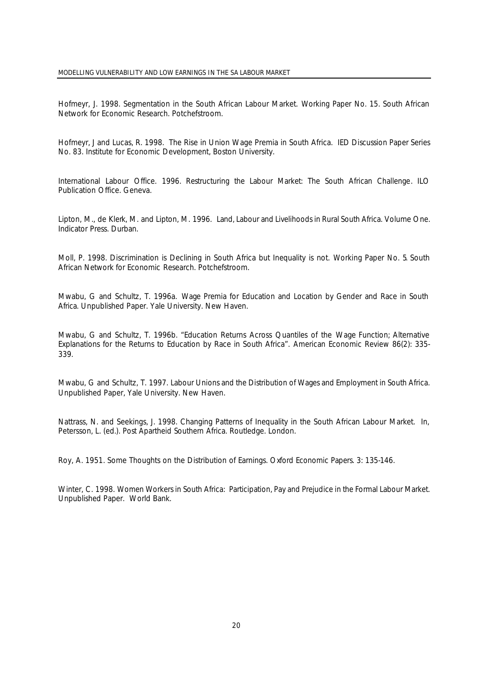Hofmeyr, J. 1998*.* Segmentation in the South African Labour Market. *Working Paper No. 15*. South African Network for Economic Research. Potchefstroom.

Hofmeyr, J and Lucas, R. 1998. The Rise in Union Wage Premia in South Africa. *IED Discussion Paper Series No. 83*. Institute for Economic Development, Boston University.

International Labour Office. 1996. *Restructuring the Labour Market: The South African Challenge*. ILO Publication Office. Geneva.

Lipton, M., de Klerk, M. and Lipton, M. 1996. *Land, Labour and Livelihoods in Rural South Africa*. Volume One. Indicator Press. Durban.

Moll, P. 1998. Discrimination is Declining in South Africa but Inequality is not. *Working Paper No. 5*. South African Network for Economic Research. Potchefstroom.

Mwabu, G and Schultz, T. 1996a. *Wage Premia for Education and Location by Gender and Race in South Africa*. Unpublished Paper. Yale University. New Haven.

Mwabu, G and Schultz, T. 1996b. "Education Returns Across Quantiles of the Wage Function; Alternative Explanations for the Returns to Education by Race in South Africa". *American Economic Review* 86(2): 335- 339.

Mwabu, G and Schultz, T. 1997. *Labour Unions and the Distribution of Wages and Employment in South Africa*. Unpublished Paper, Yale University. New Haven.

Nattrass, N. and Seekings, J. 1998. Changing Patterns of Inequality in the South African Labour Market. In, Petersson, L. (ed.). *Post Apartheid Southern Africa*. Routledge. London.

Roy, A. 1951. Some Thoughts on the Distribution of Earnings. *Oxford Economic Papers*. 3: 135-146.

Winter, C. 1998. *Women Workers in South Africa: Participation, Pay and Prejudice in the Formal Labour Market*. Unpublished Paper. World Bank.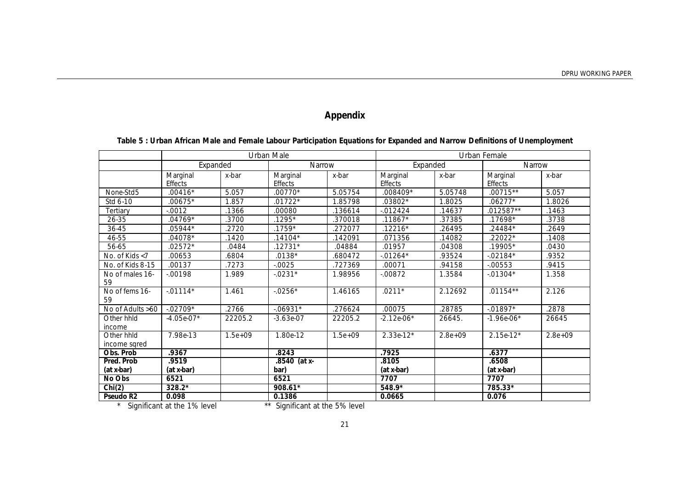# **Appendix**

## **Table 5 : Urban African Male and Female Labour Participation Equations for Expanded and Narrow Definitions of Unemployment**

|                      |                    |           | Urban Male     |             |                | Urban Female |                |             |  |
|----------------------|--------------------|-----------|----------------|-------------|----------------|--------------|----------------|-------------|--|
|                      | Expanded<br>Narrow |           | Expanded       |             |                | Narrow       |                |             |  |
|                      | Marginal           | x-bar     | Marginal       | x-bar       | Marginal       | x-bar        | Marginal       | x-bar       |  |
|                      | <b>Effects</b>     |           | <b>Effects</b> |             | <b>Effects</b> |              | <b>Effects</b> |             |  |
| None-Std5            | $.00416*$          | 5.057     | $.00770*$      | 5.05754     | .008409*       | 5.05748      | $.00715***$    | 5.057       |  |
| Std 6-10             | $.00675*$          | 1.857     | $.01722*$      | 1.85798     | $.03802*$      | 1.8025       | $.06277*$      | 1.8026      |  |
| Tertiary             | $-0012$            | .1366     | .00080         | .136614     | $-012424$      | .14637       | .012587**      | .1463       |  |
| 26-35                | $.04769*$          | 3700      | .1295*         | .370018     | $.11867*$      | .37385       | .17698*        | .3738       |  |
| 36-45                | $.05944*$          | .2720     | $.1759*$       | .272077     | $.12216*$      | .26495       | $.24484*$      | .2649       |  |
| 46-55                | $.04078*$          | 1420      | $.14104*$      | .142091     | .071356        | 14082        | 22022*         | .1408       |  |
| $56 - 65$            | $.02572*$          | .0484     | 12731*         | .04884      | .01957         | .04308       | .19905*        | .0430       |  |
| No. of Kids <7       | .00653             | 6804      | $.0138*$       | .680472     | $-0.01264*$    | .93524       | $-02184*$      | .9352       |  |
| No. of Kids 8-15     | 00137              | .7273     | $-0.0025$      | .727369     | .00071         | .94158       | $-00553$       | .9415       |  |
| No of males 16-      | $-00198$           | 1.989     | $-0231*$       | 1.98956     | $-00872$       | 1.3584       | $-01304*$      | 1.358       |  |
| 59                   |                    |           |                |             |                |              |                |             |  |
| No of fems 16-<br>59 | $-01114*$          | 1.461     | $-0.0256*$     | 1.46165     | $.0211*$       | 2.12692      | $.01154**$     | 2.126       |  |
| No of Adults >60     | $-02709*$          | .2766     | $-06931*$      | .276624     | .00075         | .28785       | $-01897*$      | .2878       |  |
| Other hhld           | $-4.05e-07*$       | 22205.2   | $-3.63e07$     | 22205.2     | $-2.12e-06*$   | 26645.       | $-1.96e-06*$   | 26645       |  |
| income               |                    |           |                |             |                |              |                |             |  |
| Other hhld           | 7.98e-13           | $1.5e+09$ | 1.80e-12       | $1.5e + 09$ | $2.33e-12*$    | $2.8e+09$    | $2.15e-12*$    | $2.8e + 09$ |  |
| income sqred         |                    |           |                |             |                |              |                |             |  |
| Obs. Prob            | .9367              |           | .8243          |             | .7925          |              | .6377          |             |  |
| Pred. Prob           | .9519              |           | $.8540$ (at x- |             | .8105          |              | .6508          |             |  |
| (at x-bar)           | (at x-bar)         |           | bar)           |             | (at x-bar)     |              | (at x-bar)     |             |  |
| No Obs               | 6521               |           | 6521           |             | 7707           |              | 7707           |             |  |
| Chi(2)               | $328.2*$           |           | 908.61*        |             | 548.9*         |              | 785.33*        |             |  |
| <b>Pseudo R2</b>     | 0.098              |           | 0.1386         |             | 0.0665         |              | 0.076          |             |  |

\* Significant at the 1% level \*\* Significant at the 5% level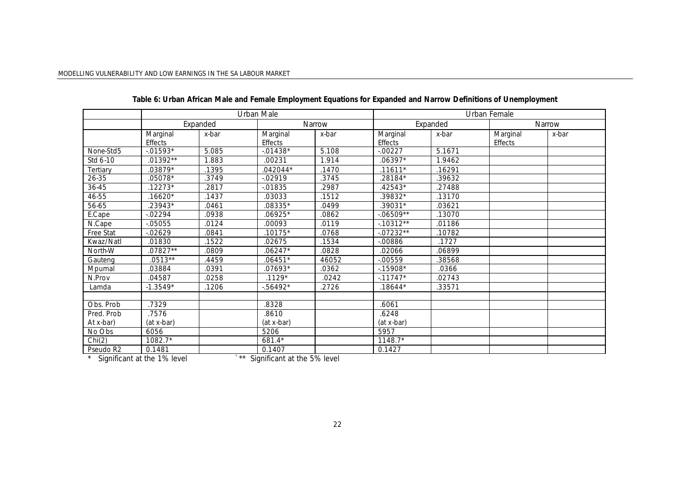|            |                       |          | <b>Urban Male</b>   |       |                            | Urban Female |                     |        |  |  |
|------------|-----------------------|----------|---------------------|-------|----------------------------|--------------|---------------------|--------|--|--|
|            |                       | Expanded | Narrow              |       |                            | Expanded     |                     | Narrow |  |  |
|            | Marginal<br>Effects   | x-bar    | Marginal<br>Effects | x-bar | Marginal<br><b>Effects</b> | x-bar        | Marginal<br>Effects | x-bar  |  |  |
| None-Std5  | $-0.01593*$           | 5.085    | $-0.01438*$         | 5.108 | $-00227$                   | 5.1671       |                     |        |  |  |
| Std 6-10   | $.01392**$            | 1.883    | .00231              | 1.914 | $.06397*$                  | 1.9462       |                     |        |  |  |
| Tertiary   | .03879*               | .1395    | $.042044*$          | 1470  | $.11611*$                  | .16291       |                     |        |  |  |
| 26-35      | $.05078*$             | .3749    | $-02919$            | .3745 | .28184*                    | .39632       |                     |        |  |  |
| 36-45      | $.12273*$             | .2817    | $-01835$            | .2987 | .42543*                    | .27488       |                     |        |  |  |
| 46-55      | $.16620*$             | .1437    | .03033              | .1512 | .39832*                    | .13170       |                     |        |  |  |
| 56-65      | .23943*               | .0461    | $.08335*$           | .0499 | .39031*                    | .03621       |                     |        |  |  |
| E.Cape     | $-02294$              | .0938    | $.06925*$           | .0862 | $-06509**$                 | .13070       |                     |        |  |  |
| N.Cape     | $-05055$              | .0124    | .00093              | .0119 | $-0.10312**$               | .01186       |                     |        |  |  |
| Free Stat  | $-02629$              | .0841    | $.10175*$           | .0768 | $-07232**$                 | .10782       |                     |        |  |  |
| Kwaz/Natl  | .01830                | .1522    | .02675              | .1534 | $-00886$                   | .1727        |                     |        |  |  |
| North-W    | $.078\overline{27**}$ | .0809    | $.06247*$           | .0828 | .02066                     | .06899       |                     |        |  |  |
| Gauteng    | $.0513**$             | .4459    | $.06451*$           | 46052 | $-00559$                   | .38568       |                     |        |  |  |
| Mpumal     | .03884                | .0391    | $.07693*$           | .0362 | $-15908*$                  | .0366        |                     |        |  |  |
| N.Prov     | .04587                | .0258    | $.1129*$            | 0242  | $-11747*$                  | .02743       |                     |        |  |  |
| Lamda      | $-1.3549*$            | 1206     | $-56492*$           | .2726 | $.18644*$                  | .33571       |                     |        |  |  |
|            |                       |          |                     |       |                            |              |                     |        |  |  |
| Obs. Prob  | .7329                 |          | .8328               |       | .6061                      |              |                     |        |  |  |
| Pred. Prob | .7576                 |          | .8610               |       | .6248                      |              |                     |        |  |  |
| At x-bar)  | $(at x-bar)$          |          | $(at x-bar)$        |       | $(at x-bar)$               |              |                     |        |  |  |
| No Obs     | 6056                  |          | 5206                |       | 5957                       |              |                     |        |  |  |
| Chi(2)     | 1082.7*               |          | 681.4*              |       | $1148.7*$                  |              |                     |        |  |  |
| Pseudo R2  | 0.1481                |          | 0.1407              |       | 0.1427                     |              |                     |        |  |  |

**Table 6: Urban African Male and Female Employment Equations for Expanded and Narrow Definitions of Unemployment**

\* Significant at the 1% level `\*\* Significant at the 5% level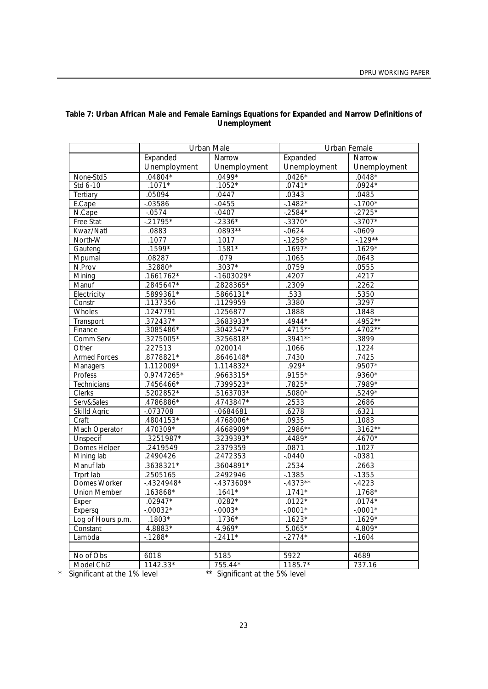|                     |                  | Urban Male   |              | Urban Female |
|---------------------|------------------|--------------|--------------|--------------|
|                     | Expanded         | Narrow       | Expanded     | Narrow       |
|                     | Unemployment     | Unemployment | Unemployment | Unemployment |
| None-Std5           | $.04804*$        | $.0499*$     | $.0426*$     | $.0448*$     |
| Std 6-10            | $.1071*$         | $.1052*$     | $.0741*$     | $.0924*$     |
| Tertiary            | .05094           | .0447        | .0343        | .0485        |
| E.Cape              | $-03586$         | $-0.0455$    | $-1482*$     | $-1700*$     |
| N.Cape              | $-0574$          | $-0407$      | $-.2584*$    | $-2725*$     |
| Free Stat           | $-21795*$        | $-2336*$     | $-0.3370*$   | $-3707*$     |
| Kwaz/Natl           | .0883            | .0893 **     | $-0624$      | $-0609$      |
| North-W             | .1077            | .1017        | $-1258*$     | $-129**$     |
| Gauteng             | .1599*           | $.1581*$     | $.1697*$     | $.1629*$     |
| Mpumal              | .08287           | .079         | .1065        | .0643        |
| N.Prov              | $.32880*$        | $.3037*$     | .0759        | .0555        |
| Mining              | .1661762*        | $-1603029*$  | .4207        | .4217        |
| Manuf               | .2845647*        | .2828365*    | .2309        | .2262        |
| Electricity         | .5899361*        | 5866131*     | .533         | 5350         |
| Constr              | .1137356         | .1129959     | .3380        | .3297        |
| Wholes              | .1247791         | .1256877     | .1888        | .1848        |
| <b>Transport</b>    | $.372437*$       | .3683933*    | $4944*$      | $.4952**$    |
| Finance             | .3085486*        | .3042547*    | $.4715***$   | $.4702**$    |
| Comm Serv           | .3275005*        | .3256818*    | $.3941**$    | .3899        |
| Other               | .227513          | 020014       | .1066        | .1224        |
| <b>Armed Forces</b> | .8778821*        | .8646148*    | .7430        | .7425        |
| Managers            | 1.112009*        | 1.114832*    | $.929*$      | .9507*       |
| Profess             | 0.9747265*       | .9663315*    | $.9155*$     | .9360*       |
| Technicians         | .7456466*        | .7399523*    | .7825*       | .7989*       |
| Clerks              | .5202852*        | .5163703*    | .5080*       | $.5249*$     |
| Serv&Sales          | .4786886*        | .4743847*    | .2533        | .2686        |
| <b>Skilld Agric</b> | $-073708$        | $-0684681$   | 6278         | 6321         |
| Craft               | .4804153*        | .4768006*    | .0935        | .1083        |
| Mach Operator       | .470309*         | .4668909*    | $.2986**$    | $.3162**$    |
| Unspecif            | .3251987*        | .3239393*    | .4489*       | $.4670*$     |
| Domes Helper        | 2419549          | 2379359      | .0871        | .1027        |
| Mining lab          | $\sqrt{2}490426$ | .2472353     | $-0440$      | $-0.0381$    |
| Manuf lab           | $.3638321*$      | $.3604891*$  | .2534        | .2663        |
| Trprt lab           | .2505165         | .2492946     | $-1385$      | $-1355$      |
| Domes Worker        | $-4324948*$      | $-4373609*$  | $-4373**$    | $-4223$      |
| <b>Union Member</b> | .163868*         | $.1641*$     | $.1741*$     | $.1768*$     |
| Exper               | $.02947*$        | $.0282*$     | $.0122*$     | $.0174*$     |
| Expersq             | $-0.00032*$      | $-0.003*$    | $-0.0001*$   | $-0.001*$    |
| Log of Hours p.m.   | $.1803*$         | $.1736*$     | $.1623*$     | $.1629*$     |
| Constant            | 4.8883*          | 4.969*       | $5.065*$     | 4.809*       |
| Lambda              | $-1288*$         | $-.2411*$    | $-2774*$     | $-1604$      |
|                     |                  |              |              |              |
| No of Obs           | 6018             | 5185         | 5922         | 4689         |
| Model Chi2          | 1142.33*         | $755.44*$    | 1185.7*      | 737.16       |

#### **Table 7: Urban African Male and Female Earnings Equations for Expanded and Narrow Definitions of Unemployment**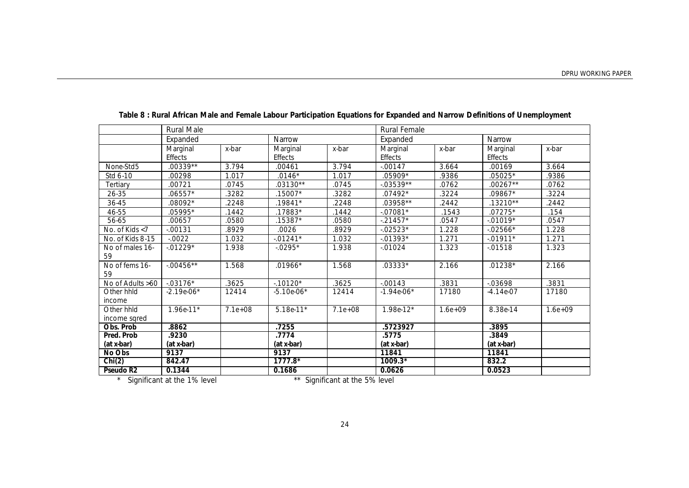|                  | <b>Rural Male</b>     |           |              | <b>Rural Female</b> |              |             |             |             |
|------------------|-----------------------|-----------|--------------|---------------------|--------------|-------------|-------------|-------------|
|                  | Expanded              |           | Narrow       | Expanded            |              |             | Narrow      |             |
|                  | Marginal              | x-bar     | Marginal     | x-bar               | Marginal     | x-bar       | Marginal    | x-bar       |
|                  | <b>Effects</b>        |           | Effects      |                     | Effects      |             | Effects     |             |
| None-Std5        | $.003\overline{39**}$ | 3.794     | 00461        | 3.794               | $-00147$     | 3.664       | 00169       | 3.664       |
| Std 6-10         | 00298                 | 1.017     | $.0146*$     | 1.017               | .05909*      | .9386       | $.05025*$   | .9386       |
| Tertiary         | .00721                | .0745     | $.03130**$   | .0745               | $-0.03539**$ | .0762       | $.00267**$  | .0762       |
| 26-35            | $.06557*$             | .3282     | .15007*      | .3282               | $.07492*$    | .3224       | $.09867*$   | .3224       |
| 36-45            | .08092*               | .2248     | .19841*      | .2248               | .03958**     | .2442       | $.13210**$  | 2442        |
| 46-55            | .05995*               | .1442     | .17883*      | .1442               | $-07081*$    | .1543       | $.07275*$   | .154        |
| $56 - 65$        | 00657                 | .0580     | .15387*      | .0580               | $-21457*$    | .0547       | $-01019*$   | .0547       |
| No. of Kids <7   | $-00131$              | .8929     | .0026        | .8929               | $-0.02523*$  | 1.228       | $-0.02566*$ | 1.228       |
| No. of Kids 8-15 | $-0.0022$             | 1.032     | $-01241*$    | 1.032               | $-0.01393*$  | 1.271       | $-0.01911*$ | 1.271       |
| No of males 16-  | $-01229*$             | 1.938     | $-0295*$     | 1.938               | $-01024$     | 1.323       | $-01518$    | 1.323       |
| 59               |                       |           |              |                     |              |             |             |             |
| No of fems 16-   | $-0.00456**$          | 1.568     | $.01966*$    | 1.568               | $.03333*$    | 2.166       | $.01238*$   | 2.166       |
| 59               |                       |           |              |                     |              |             |             |             |
| No of Adults >60 | $-03176*$             | .3625     | $-10120*$    | .3625               | $-00143$     | .3831       | $-0.03698$  | .3831       |
| Other hhld       | $-2.19e-06*$          | 12414     | $-5.10e-06*$ | 12414               | $-1.94e-06*$ | 17180       | $-4.14e-07$ | 17180       |
| income           |                       |           |              |                     |              |             |             |             |
| Other hhld       | $1.96e 11*$           | $7.1e+08$ | $5.18e11*$   | $7.1e+08$           | 1.98e-12*    | $1.6e + 09$ | 8.38e-14    | $1.6e + 09$ |
| income sqred     |                       |           |              |                     |              |             |             |             |
| Obs. Prob        | .8862                 |           | .7255        |                     | .5723927     |             | .3895       |             |
| Pred. Prob       | .9230                 |           | .7774        |                     | .5775        |             | .3849       |             |
| (at x-bar)       | (at x-bar)            |           | (at x-bar)   |                     | (at x-bar)   |             | (at x-bar)  |             |
| No Obs           | 9137                  |           | 9137         |                     | 11841        |             | 11841       |             |
| Chi(2)           | 842.47                |           | $1777.8*$    |                     | $1009.3*$    |             | 832.2       |             |
| Pseudo R2        | 0.1344                |           | 0.1686       |                     | 0.0626       |             | 0.0523      |             |

## **Table 8 : Rural African Male and Female Labour Participation Equations for Expanded and Narrow Definitions of Unemployment**

\* Significant at the 1% level \*\* Significant at the 5% level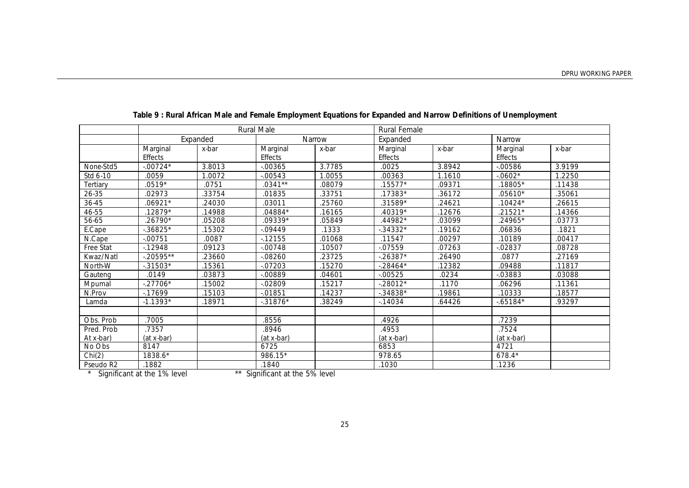|            | <b>Rural Male</b> |        |             |        | <b>Rural Female</b> |        |                |        |
|------------|-------------------|--------|-------------|--------|---------------------|--------|----------------|--------|
|            | Expanded          |        | Narrow      |        | Expanded            |        | Narrow         |        |
|            | Marginal          | x-bar  | Marginal    | x-bar  | Marginal            | x-bar  | Marginal       | x-bar  |
|            | Effects           |        | Effects     |        | Effects             |        | <b>Effects</b> |        |
| None-Std5  | $-00724*$         | 3.8013 | $-00365$    | 3.7785 | 0025                | 3.8942 | $-00586$       | 3.9199 |
| Std 6-10   | 0059              | 1.0072 | $-0.00543$  | 1.0055 | .00363              | 1.1610 | $-0.0602*$     | 1.2250 |
| Tertiary   | $.0519*$          | .0751  | $.0341***$  | .08079 | $.15577*$           | .09371 | .18805*        | .11438 |
| 26-35      | .02973            | .33754 | .01835      | .33751 | .17383*             | .36172 | $.05610*$      | .35061 |
| 36-45      | $.06921*$         | .24030 | .03011      | .25760 | .31589*             | .24621 | $.10424*$      | .26615 |
| 46-55      | 12879*            | .14988 | $.04884*$   | .16165 | $.40319*$           | .12676 | $.21521*$      | .14366 |
| 56-65      | .26790*           | .05208 | .09339*     | .05849 | .44982*             | .03099 | .24965*        | .03773 |
| E.Cape     | $-36825*$         | .15302 | $-09449$    | .1333  | $-34332*$           | .19162 | .06836         | .1821  |
| N.Cape     | $-00751$          | .0087  | $-12155$    | .01068 | .11547              | .00297 | .10189         | .00417 |
| Free Stat  | $-12948$          | .09123 | $-00748$    | .10507 | $-07559$            | .07263 | $-02837$       | .08728 |
| Kwaz/Natl  | $-0.20595***$     | .23660 | $-08260$    | .23725 | $-26387*$           | .26490 | 0877           | .27169 |
| North-W    | $-31503*$         | .15361 | $-07203$    | .15270 | $-28464*$           | .12382 | .09488         | .11817 |
| Gauteng    | .0149             | .03873 | $-00889$    | .04601 | $-00525$            | .0234  | $-03883$       | .03088 |
| Mpumal     | $-27706*$         | .15002 | $-02809$    | .15217 | $-28012*$           | .1170  | .06296         | .11361 |
| N.Prov     | $-17699$          | .15103 | $-01851$    | .14237 | $-0.34838*$         | .19861 | .10333         | .18577 |
| Lamda      | $-1.1393*$        | .18971 | $-0.31876*$ | .38249 | $-14034$            | .64426 | $-0.65184*$    | .93297 |
|            |                   |        |             |        |                     |        |                |        |
| Obs. Prob  | .7005             |        | .8556       |        | .4926               |        | .7239          |        |
| Pred. Prob | .7357             |        | .8946       |        | .4953               |        | .7524          |        |
| At x-bar)  | $(at x-bar)$      |        | (at x-bar)  |        | (at x-bar)          |        | $(at x-bar)$   |        |
| No Obs     | 8147              |        | 6725        |        | 6853                |        | 4721           |        |
| Chi(2)     | 1838.6*           |        | $986.15*$   |        | 978.65              |        | 678.4*         |        |
| Pseudo R2  | .1882             |        | .1840       |        | .1030               |        | .1236          |        |

# **Table 9 : Rural African Male and Female Employment Equations for Expanded and Narrow Definitions of Unemployment**

\* Significant at the 1% level \*\* Significant at the 5% level